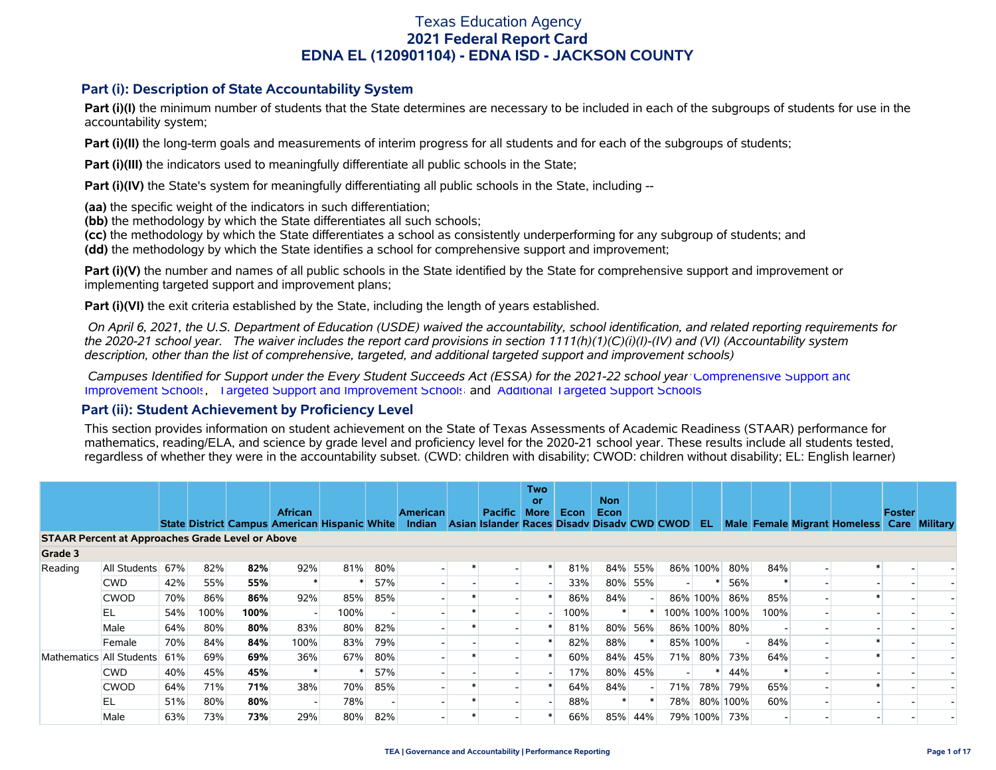### **Part (i): Description of State Accountability System**

Part (i)(I) the minimum number of students that the State determines are necessary to be included in each of the subgroups of students for use in the accountability system;

**Part (i)(II)** the long-term goals and measurements of interim progress for all students and for each of the subgroups of students;

**Part (i)(III)** the indicators used to meaningfully differentiate all public schools in the State;

**Part (i)(IV)** the State's system for meaningfully differentiating all public schools in the State, including --

**(aa)** the specific weight of the indicators in such differentiation;

**(bb)** the methodology by which the State differentiates all such schools;

**(cc)** the methodology by which the State differentiates a school as consistently underperforming for any subgroup of students; and

**(dd)** the methodology by which the State identifies a school for comprehensive support and improvement;

**Part (i)(V)** the number and names of all public schools in the State identified by the State for comprehensive support and improvement or implementing targeted support and improvement plans;

**Part (i)(VI)** the exit criteria established by the State, including the length of years established.

 *On April 6, 2021, the U.S. Department of Education (USDE) waived the accountability, school identification, and related reporting requirements for the 2020-21 school year. The waiver includes the report card provisions in section 1111(h)(1)(C)(i)(I)-(IV) and (VI) (Accountability system description, other than the list of comprehensive, targeted, and additional targeted support and improvement schools)* 

 *Campuses Identified for Support under the Every Student Succeeds Act (ESSA) for the 2021-22 school year:* [Comprehensive Support and](https://tea.texas.gov/sites/default/files/comprehensive_support_2021.xlsx) [Improvement Schools](https://tea.texas.gov/sites/default/files/comprehensive_support_2021.xlsx), [Targeted Support and Improvement Schools](https://tea.texas.gov/sites/default/files/targeted_support_2021.xlsx) and [Additional Targeted Support Schools.](https://tea.texas.gov/sites/default/files/additional_targeted_support_2021.xlsx)

### **Part (ii): Student Achievement by Proficiency Level**

This section provides information on student achievement on the State of Texas Assessments of Academic Readiness (STAAR) performance for mathematics, reading/ELA, and science by grade level and proficiency level for the 2020-21 school year. These results include all students tested, regardless of whether they were in the accountability subset. (CWD: children with disability; CWOD: children without disability; EL: English learner)

|                                                         |              |     |      |      |                                                                        |      |     |                           |                                                        | Two<br>or   |             | <b>Non</b> |     |     |            |                |      |                                            |               |  |
|---------------------------------------------------------|--------------|-----|------|------|------------------------------------------------------------------------|------|-----|---------------------------|--------------------------------------------------------|-------------|-------------|------------|-----|-----|------------|----------------|------|--------------------------------------------|---------------|--|
|                                                         |              |     |      |      | <b>African</b><br><b>State District Campus American Hispanic White</b> |      |     | <b>American</b><br>Indian | Pacific<br>Asian Islander Races Disady Disady CWD CWOD | <b>More</b> | <b>Econ</b> | Econ       |     |     | EL.        |                |      | Male Female Migrant Homeless Care Military | <b>Foster</b> |  |
| <b>STAAR Percent at Approaches Grade Level or Above</b> |              |     |      |      |                                                                        |      |     |                           |                                                        |             |             |            |     |     |            |                |      |                                            |               |  |
| Grade 3                                                 |              |     |      |      |                                                                        |      |     |                           |                                                        |             |             |            |     |     |            |                |      |                                            |               |  |
| Reading                                                 | All Students | 67% | 82%  | 82%  | 92%                                                                    | 81%  | 80% |                           |                                                        |             | 81%         | 84%        | 55% |     | 86% 100%   | 80%            | 84%  |                                            |               |  |
|                                                         | <b>CWD</b>   | 42% | 55%  | 55%  |                                                                        |      | 57% |                           |                                                        |             | 33%         | 80%        | 55% |     |            | 56%            |      |                                            |               |  |
|                                                         | <b>CWOD</b>  | 70% | 86%  | 86%  | 92%                                                                    | 85%  | 85% |                           |                                                        |             | 86%         | 84%        |     |     | 86% 100%   | 86%            | 85%  |                                            |               |  |
|                                                         | EL           | 54% | 100% | 100% | $\overline{\phantom{a}}$                                               | 100% |     |                           |                                                        |             | 100%        |            |     |     |            | 100% 100% 100% | 100% |                                            |               |  |
|                                                         | Male         | 64% | 80%  | 80%  | 83%                                                                    | 80%  | 82% |                           |                                                        |             | 81%         | 80%        | 56% |     |            | 86% 100% 80%   |      |                                            |               |  |
|                                                         | Female       | 70% | 84%  | 84%  | 100%                                                                   | 83%  | 79% |                           |                                                        |             | 82%         | 88%        |     |     | 85% 100%   |                | 84%  |                                            |               |  |
| Mathematics All Students                                |              | 61% | 69%  | 69%  | 36%                                                                    | 67%  | 80% |                           |                                                        |             | 60%         | 84%        | 45% | 71% | $80\%$     | 73%            | 64%  |                                            |               |  |
|                                                         | <b>CWD</b>   | 40% | 45%  | 45%  |                                                                        |      | 57% |                           |                                                        |             | 17%         | 80%        | 45% |     |            | 44%            |      |                                            |               |  |
|                                                         | <b>CWOD</b>  | 64% | 71%  | 71%  | 38%                                                                    | 70%  | 85% |                           |                                                        |             | 64%         | 84%        |     | 71% | <b>78%</b> | 79%            | 65%  |                                            |               |  |
|                                                         | EL           | 51% | 80%  | 80%  |                                                                        | 78%  |     |                           |                                                        |             | 88%         |            |     | 78% |            | 80% 100%       | 60%  |                                            |               |  |
|                                                         | Male         | 63% | 73%  | 73%  | 29%                                                                    | 80%  | 82% |                           |                                                        |             | 66%         | 85%        | 44% |     | 79% 100%   | 73%            |      |                                            |               |  |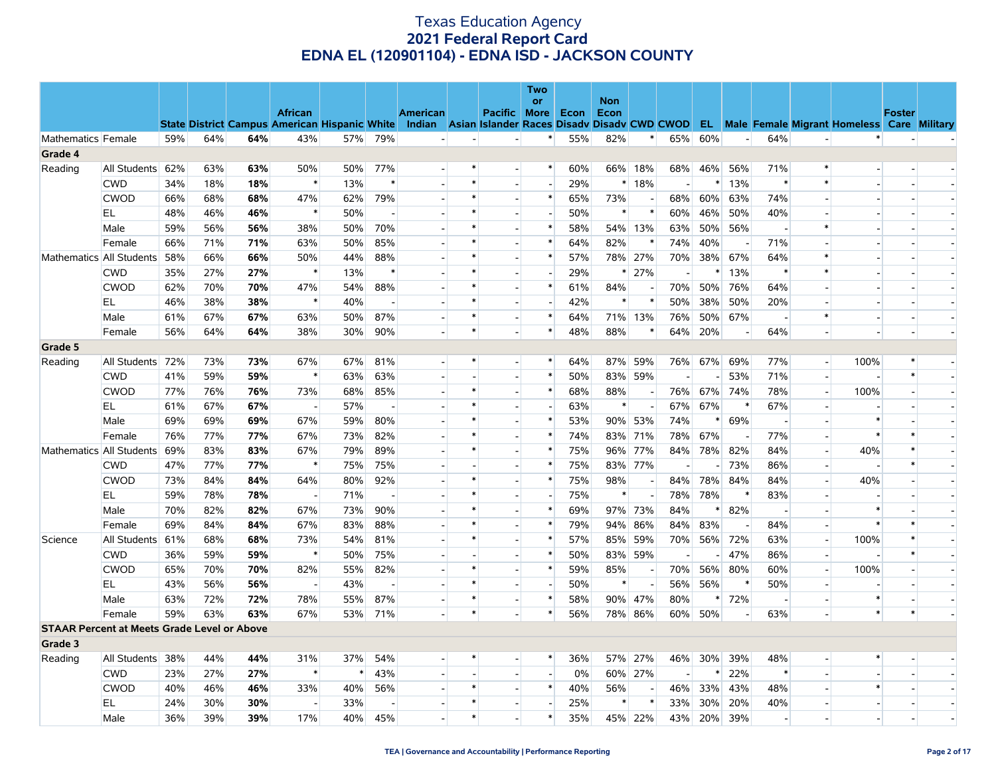|                    |                          |            |                                                      |            |                          |            |                                 |                 |                |                                             | <b>Two</b><br>or                   |            | <b>Non</b>    |         |            |     |          |                          |                          |                                                      |               |                          |
|--------------------|--------------------------|------------|------------------------------------------------------|------------|--------------------------|------------|---------------------------------|-----------------|----------------|---------------------------------------------|------------------------------------|------------|---------------|---------|------------|-----|----------|--------------------------|--------------------------|------------------------------------------------------|---------------|--------------------------|
|                    |                          |            |                                                      |            | <b>African</b>           |            |                                 | <b>American</b> |                | <b>Pacific More</b>                         |                                    | Econ       | Econ          |         |            |     |          |                          |                          |                                                      | <b>Foster</b> |                          |
|                    |                          |            | <b>State District Campus American Hispanic White</b> |            |                          |            |                                 | Indian          |                | Asian Islander Races Disady Disady CWD CWOD |                                    |            |               |         |            |     |          |                          |                          | <b>EL</b> Male Female Migrant Homeless Care Military |               |                          |
| Mathematics Female |                          | 59%        | 64%                                                  | 64%        | 43%                      | 57%        | 79%                             |                 | $\overline{a}$ | $\overline{a}$                              | $\ast$                             | 55%        | 82%           | $\ast$  | 65%        | 60% | $\sim$   | 64%                      | $\overline{\phantom{a}}$ |                                                      |               |                          |
| Grade 4            |                          |            |                                                      |            |                          |            |                                 |                 |                |                                             |                                    |            |               |         |            |     |          |                          |                          |                                                      |               |                          |
| Reading            | All Students             | 62%        | 63%                                                  | 63%        | 50%                      | 50%        | 77%                             |                 | *              |                                             | $\ast$                             | 60%        | 66%           | 18%     | 68%        | 46% | 56%      | 71%                      | $\ast$                   | $\overline{\phantom{a}}$                             |               |                          |
|                    | <b>CWD</b>               | 34%        | 18%                                                  | 18%        | $\ast$                   | 13%        | $\ast$                          |                 | $\ast$         |                                             | $\overline{\phantom{a}}$           | 29%        | $\ast$        | 18%     |            |     | 13%      | $\ast$                   | $\ast$                   |                                                      |               |                          |
|                    | <b>CWOD</b>              | 66%        | 68%                                                  | 68%        | 47%                      | 62%        | 79%                             |                 | $\ast$         |                                             | $\ast$                             | 65%        | 73%           |         | 68%        | 60% | 63%      | 74%                      |                          | $\sim$                                               |               |                          |
|                    | EL                       | 48%        | 46%                                                  | 46%        | $\ast$                   | 50%        |                                 |                 | $\ast$         |                                             |                                    | 50%        | $\ast$        | $\ast$  | 60%        | 46% | 50%      | 40%                      |                          |                                                      |               |                          |
|                    | Male                     | 59%        | 56%                                                  | 56%        | 38%                      | 50%        | 70%                             |                 | $\ast$         |                                             | $\ast$                             | 58%        | 54%           | 13%     | 63%        | 50% | 56%      | $\overline{\phantom{a}}$ | $\ast$                   | $\overline{a}$                                       |               |                          |
|                    | Female                   | 66%        | 71%                                                  | 71%        | 63%                      | 50%        | 85%                             |                 | $\ast$         |                                             | $\ast$                             | 64%        | 82%           |         | 74%        | 40% |          | 71%                      |                          |                                                      |               |                          |
|                    | Mathematics All Students | 58%        | 66%                                                  | 66%        | 50%                      | 44%        | 88%                             |                 | $\ast$         |                                             | $\ast$                             | 57%        |               | 78% 27% | 70%        | 38% | 67%      | 64%                      | $\ast$                   | $\overline{\phantom{a}}$                             |               |                          |
|                    | <b>CWD</b>               | 35%        | 27%                                                  | 27%        | $\ast$                   | 13%        | $\ast$                          |                 | $\ast$         |                                             | $\overline{\phantom{a}}$           | 29%        | $\ast$        | 27%     |            | ∗   | 13%      | $\ast$                   | $\ast$                   |                                                      |               |                          |
|                    | <b>CWOD</b>              | 62%        | 70%                                                  | 70%        | 47%                      | 54%        | 88%                             |                 | $\ast$         |                                             | $\ast$                             | 61%        | 84%           |         | 70%        | 50% | 76%      | 64%                      |                          | $\overline{\phantom{a}}$                             |               |                          |
|                    | EL.                      | 46%        | 38%                                                  | 38%        | $\ast$                   | 40%        |                                 |                 | $\ast$         |                                             | $\overline{\phantom{a}}$           | 42%        | $\ast$        |         | 50%        | 38% | 50%      | 20%                      | $\sim$                   | $\overline{\phantom{a}}$                             |               |                          |
|                    | Male                     | 61%        | 67%                                                  | 67%        | 63%                      | 50%        | 87%                             |                 | $\ast$         |                                             | $\ast$                             | 64%        | 71%           | 13%     | 76%        | 50% | 67%      |                          | $\ast$                   | $\overline{\phantom{a}}$                             |               |                          |
|                    | Female                   | 56%        | 64%                                                  | 64%        | 38%                      | 30%        | 90%                             |                 | $\ast$         |                                             | $\ast$                             | 48%        | 88%           | $\ast$  | 64%        | 20% |          | 64%                      |                          | $\overline{a}$                                       |               |                          |
| Grade 5            |                          |            |                                                      |            |                          |            |                                 |                 |                |                                             |                                    |            |               |         |            |     |          |                          |                          |                                                      |               |                          |
| Reading            | All Students             | 72%        | 73%                                                  | 73%        | 67%                      | 67%        | 81%                             |                 | $\ast$         |                                             | $\ast$                             | 64%        | 87%           | 59%     | 76%        | 67% | 69%      | 77%                      | $\overline{a}$           | 100%                                                 | ∗<br>$\ast$   |                          |
|                    | <b>CWD</b>               | 41%        | 59%                                                  | 59%        | $\ast$                   | 63%        | 63%                             |                 |                |                                             | $\ast$                             | 50%        | 83%           | 59%     |            |     | 53%      | 71%                      | $\overline{a}$           |                                                      |               |                          |
|                    | CWOD                     | 77%        | 76%                                                  | 76%        | 73%                      | 68%        | 85%                             |                 | $\ast$         |                                             | $\ast$                             | 68%        | 88%           |         | 76%        | 67% | 74%      | 78%                      | $\sim$                   | 100%                                                 |               |                          |
|                    | EL.                      | 61%        | 67%                                                  | 67%        | $\overline{\phantom{a}}$ | 57%        | $\overline{a}$                  |                 |                |                                             | $\overline{\phantom{a}}$<br>$\ast$ | 63%        | $\ast$        |         | 67%        | 67% | $\ast$   | 67%                      | $\overline{a}$           | $\ast$                                               |               |                          |
|                    | Male                     | 69%        | 69%                                                  | 69%        | 67%                      | 59%        | 80%                             |                 | $\ast$         |                                             | $\ast$                             | 53%        | 90%           | 53%     | 74%        |     | 69%      |                          | $\overline{a}$           | $\ast$                                               | $\ast$        |                          |
|                    | Female                   | 76%        | 77%                                                  | 77%        | 67%                      | 73%        | 82%                             |                 | $\ast$         |                                             | $\ast$                             | 74%        | 83%           | 71%     | 78%        | 67% |          | 77%                      |                          |                                                      |               |                          |
|                    | Mathematics All Students | 69%        | 83%                                                  | 83%        | 67%<br>$\ast$            | 79%        | 89%                             |                 |                |                                             | $\ast$                             | 75%        | 96%           | 77%     | 84%        | 78% | 82%      | 84%                      | $\sim$                   | 40%                                                  | $\ast$        |                          |
|                    | <b>CWD</b>               | 47%        | 77%                                                  | 77%        |                          | 75%        | 75%                             |                 | $\ast$         |                                             | $\ast$                             | 75%        |               | 83% 77% |            |     | 73%      | 86%                      | $\overline{\phantom{a}}$ | $\overline{a}$                                       |               | $\overline{\phantom{a}}$ |
|                    | <b>CWOD</b><br>EL        | 73%<br>59% | 84%<br>78%                                           | 84%<br>78% | 64%<br>$\sim$            | 80%<br>71% | 92%<br>$\overline{\phantom{a}}$ |                 | $\ast$         |                                             | $\overline{\phantom{a}}$           | 75%<br>75% | 98%<br>$\ast$ |         | 84%<br>78% | 78% | 84%<br>∗ | 84%                      |                          | 40%                                                  |               | $\overline{\phantom{a}}$ |
|                    |                          | 70%        | 82%                                                  | 82%        | 67%                      | 73%        | 90%                             |                 | $\ast$         |                                             | $\ast$                             | 69%        | 97%           | 73%     | 84%        | 78% | 82%      | 83%                      |                          | $\ast$                                               |               |                          |
|                    | Male<br>Female           | 69%        | 84%                                                  | 84%        | 67%                      | 83%        | 88%                             |                 | $\ast$         |                                             | $\ast$                             | 79%        | 94%           | 86%     | 84%        | 83% |          | 84%                      | $\sim$                   | *                                                    |               |                          |
| Science            | All Students             | 61%        | 68%                                                  | 68%        | 73%                      | 54%        | 81%                             |                 | $\ast$         |                                             | $\ast$                             | 57%        | 85%           | 59%     | 70%        | 56% | 72%      | 63%                      | $\overline{a}$           | 100%                                                 | $\ast$        |                          |
|                    | <b>CWD</b>               | 36%        | 59%                                                  | 59%        | $\ast$                   | 50%        | 75%                             |                 |                |                                             | $\ast$                             | 50%        | 83%           | 59%     |            |     | 47%      | 86%                      | $\overline{\phantom{a}}$ |                                                      |               |                          |
|                    | <b>CWOD</b>              | 65%        | 70%                                                  | 70%        | 82%                      | 55%        | 82%                             |                 | $\ast$         |                                             | $\ast$                             | 59%        | 85%           |         | 70%        | 56% | 80%      | 60%                      | $\mathbf{L}$             | 100%                                                 |               |                          |
|                    | EL                       | 43%        | 56%                                                  | 56%        |                          | 43%        |                                 |                 | $\ast$         | $\sim$                                      | $\overline{\phantom{a}}$           | 50%        | $\ast$        |         | 56%        | 56% |          | 50%                      | $\sim$                   |                                                      |               |                          |
|                    | Male                     | 63%        | 72%                                                  | 72%        | 78%                      | 55%        | 87%                             |                 | $\ast$         |                                             | $\ast$                             | 58%        | 90%           | 47%     | 80%        |     | 72%      |                          |                          | $\ast$                                               |               |                          |
|                    | Female                   | 59%        | 63%                                                  | 63%        | 67%                      | 53%        | 71%                             |                 | $\ast$         |                                             | $\ast$                             | 56%        | 78%           | 86%     | 60%        | 50% |          | 63%                      |                          | $\ast$                                               | $\ast$        |                          |
|                    |                          |            | <b>STAAR Percent at Meets Grade Level or Above</b>   |            |                          |            |                                 |                 |                |                                             |                                    |            |               |         |            |     |          |                          |                          |                                                      |               |                          |
| Grade 3            |                          |            |                                                      |            |                          |            |                                 |                 |                |                                             |                                    |            |               |         |            |     |          |                          |                          |                                                      |               |                          |
| Reading            | All Students 38%         |            | 44%                                                  | 44%        | 31%                      | 37%        | 54%                             |                 |                |                                             | ∗                                  | 36%        | 57%           | 27%     | 46%        | 30% | 39%      | 48%                      |                          | *                                                    |               |                          |
|                    | <b>CWD</b>               | 23%        | 27%                                                  | 27%        | $\ast$                   |            | 43%                             |                 |                |                                             | $\overline{\phantom{a}}$           | 0%         | 60%           | 27%     |            |     | 22%      | $\ast$                   |                          |                                                      |               |                          |
|                    | <b>CWOD</b>              | 40%        | 46%                                                  | 46%        | 33%                      | 40%        | 56%                             |                 | $\ast$         |                                             | $\ast$                             | 40%        | 56%           |         | 46%        | 33% | 43%      | 48%                      |                          | $\ast$                                               |               |                          |
|                    | EL                       | 24%        | 30%                                                  | 30%        | $\sim$                   | 33%        |                                 |                 | $\ast$         |                                             | $\overline{a}$                     | 25%        | $\ast$        |         | 33%        | 30% | 20%      | 40%                      |                          |                                                      |               |                          |
|                    | Male                     | 36%        | 39%                                                  | 39%        | 17%                      | 40%        | 45%                             |                 | $\ast$         |                                             | $\ast$                             | 35%        |               | 45% 22% | 43%        | 20% | 39%      |                          |                          | $\overline{\phantom{a}}$                             |               |                          |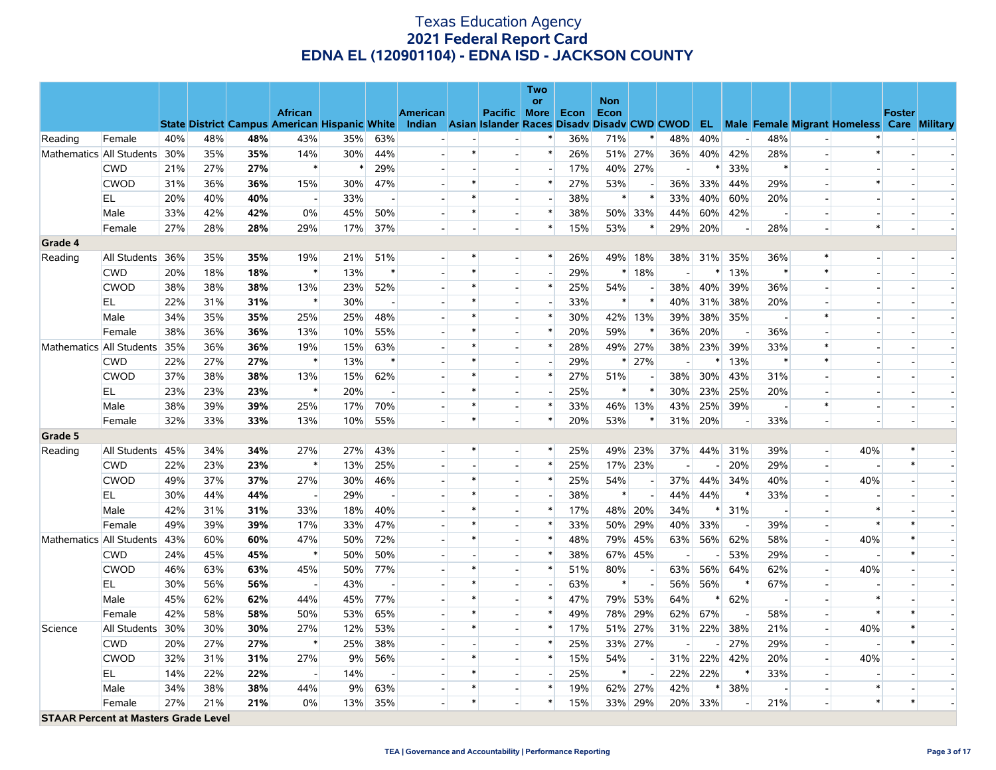|                          |                                             |     |     |     |                          |                                                                                                  |        |                          |        |                          | Two    |      |                    |     |     |        |        |                          |                          |                                                      |               |  |
|--------------------------|---------------------------------------------|-----|-----|-----|--------------------------|--------------------------------------------------------------------------------------------------|--------|--------------------------|--------|--------------------------|--------|------|--------------------|-----|-----|--------|--------|--------------------------|--------------------------|------------------------------------------------------|---------------|--|
|                          |                                             |     |     |     | <b>African</b>           |                                                                                                  |        | <b>American</b>          |        | <b>Pacific More</b>      | or     | Econ | <b>Non</b><br>Econ |     |     |        |        |                          |                          |                                                      | <b>Foster</b> |  |
|                          |                                             |     |     |     |                          | State District Campus American Hispanic White Indian Asian Islander Races Disady Disady CWD CWOD |        |                          |        |                          |        |      |                    |     |     |        |        |                          |                          | <b>EL</b> Male Female Migrant Homeless Care Military |               |  |
| Reading                  | Female                                      | 40% | 48% | 48% | 43%                      | 35%                                                                                              | 63%    |                          | ÷.     |                          | ∗      | 36%  | 71%                |     | 48% | 40%    |        | 48%                      |                          |                                                      |               |  |
|                          | Mathematics All Students                    | 30% | 35% | 35% | 14%                      | 30%                                                                                              | 44%    | $\overline{\phantom{a}}$ | $\ast$ | $\blacksquare$           | $\ast$ | 26%  | 51%                | 27% | 36% | 40%    | 42%    | 28%                      |                          | $\ast$                                               |               |  |
|                          | <b>CWD</b>                                  | 21% | 27% | 27% | $\ast$                   | $\ast$                                                                                           | 29%    |                          |        |                          |        | 17%  | 40%                | 27% |     |        | 33%    | $\ast$                   |                          |                                                      |               |  |
|                          | <b>CWOD</b>                                 | 31% | 36% | 36% | 15%                      | 30%                                                                                              | 47%    |                          |        |                          | $\ast$ | 27%  | 53%                |     | 36% | 33%    | 44%    | 29%                      |                          | $\ast$                                               |               |  |
|                          | EL                                          | 20% | 40% | 40% | $\overline{\phantom{a}}$ | 33%                                                                                              |        |                          | $\ast$ | $\overline{\phantom{a}}$ |        | 38%  | $\ast$             |     | 33% | 40%    | 60%    | 20%                      |                          |                                                      |               |  |
|                          | Male                                        | 33% | 42% | 42% | $0\%$                    | 45%                                                                                              | 50%    | $\blacksquare$           | $\ast$ | $\overline{a}$           |        | 38%  | 50%                | 33% | 44% | 60%    | 42%    |                          |                          |                                                      |               |  |
|                          | Female                                      | 27% | 28% | 28% | 29%                      | 17%                                                                                              | 37%    |                          |        | $\overline{\phantom{a}}$ | $\ast$ | 15%  | 53%                |     | 29% | 20%    |        | 28%                      | $\overline{a}$           | $\ast$                                               |               |  |
| Grade 4                  |                                             |     |     |     |                          |                                                                                                  |        |                          |        |                          |        |      |                    |     |     |        |        |                          |                          |                                                      |               |  |
| Reading                  | All Students                                | 36% | 35% | 35% | 19%                      | 21%                                                                                              | 51%    |                          | $\ast$ | $\overline{\phantom{a}}$ | $\ast$ | 26%  | 49%                | 18% | 38% | 31%    | 35%    | 36%                      | $\ast$                   | $\overline{a}$                                       |               |  |
|                          | <b>CWD</b>                                  | 20% | 18% | 18% | $\ast$                   | 13%                                                                                              | $\ast$ |                          | $\ast$ |                          |        | 29%  | $\ast$             | 18% |     | ∗      | 13%    | $\ast$                   | $\ast$                   |                                                      |               |  |
|                          | <b>CWOD</b>                                 | 38% | 38% | 38% | 13%                      | 23%                                                                                              | 52%    | $\overline{a}$           | $\ast$ | $\overline{a}$           | $\ast$ | 25%  | 54%                |     | 38% | 40%    | 39%    | 36%                      |                          | $\overline{a}$                                       |               |  |
|                          | EL                                          | 22% | 31% | 31% | $\ast$                   | 30%                                                                                              |        |                          | $\ast$ |                          |        | 33%  | $\ast$             |     | 40% | 31%    | 38%    | 20%                      |                          |                                                      |               |  |
|                          | Male                                        | 34% | 35% | 35% | 25%                      | 25%                                                                                              | 48%    |                          | $\ast$ | $\overline{a}$           | $\ast$ | 30%  | 42%                | 13% | 39% | 38%    | 35%    | $\overline{\phantom{a}}$ | $\ast$                   |                                                      |               |  |
|                          | Female                                      | 38% | 36% | 36% | 13%                      | 10%                                                                                              | 55%    |                          | $\ast$ |                          | $\ast$ | 20%  | 59%                |     | 36% | 20%    |        | 36%                      |                          |                                                      |               |  |
|                          | Mathematics All Students                    | 35% | 36% | 36% | 19%                      | 15%                                                                                              | 63%    |                          | $\ast$ | $\blacksquare$           | ∗      | 28%  | 49%                | 27% | 38% | 23%    | 39%    | 33%                      | $\ast$                   | $\blacksquare$                                       |               |  |
|                          | <b>CWD</b>                                  | 22% | 27% | 27% | $\ast$                   | 13%                                                                                              | $\ast$ |                          | $\ast$ |                          |        | 29%  | $\ast$             | 27% |     |        | 13%    | $\ast$                   | $\ast$                   |                                                      |               |  |
|                          | <b>CWOD</b>                                 | 37% | 38% | 38% | 13%                      | 15%                                                                                              | 62%    |                          | $\ast$ | $\overline{a}$           | $\ast$ | 27%  | 51%                |     | 38% | 30%    | 43%    | 31%                      |                          |                                                      |               |  |
|                          | ΕL                                          | 23% | 23% | 23% | $\ast$                   | 20%                                                                                              |        |                          | $\ast$ | $\overline{\phantom{a}}$ |        | 25%  | $\ast$             |     | 30% | 23%    | 25%    | 20%                      |                          |                                                      |               |  |
|                          | Male                                        | 38% | 39% | 39% | 25%                      | 17%                                                                                              | 70%    | $\blacksquare$           | $\ast$ | $\overline{a}$           |        | 33%  | 46%                | 13% | 43% | 25%    | 39%    |                          | $\ast$                   | $\overline{\phantom{a}}$                             |               |  |
|                          | Female                                      | 32% | 33% | 33% | 13%                      | 10%                                                                                              | 55%    | $\overline{\phantom{a}}$ | $\ast$ | $\overline{\phantom{a}}$ | $\ast$ | 20%  | 53%                |     | 31% | 20%    |        | 33%                      |                          |                                                      |               |  |
| Grade 5                  |                                             |     |     |     |                          |                                                                                                  |        |                          |        |                          |        |      |                    |     |     |        |        |                          |                          |                                                      |               |  |
| Reading                  | All Students 45%                            |     | 34% | 34% | 27%                      | 27%                                                                                              | 43%    | $\sim$                   | $\ast$ | $\overline{a}$           | $\ast$ | 25%  | 49%                | 23% | 37% | 44%    | 31%    | 39%                      | $\overline{\phantom{a}}$ | 40%                                                  |               |  |
|                          | <b>CWD</b>                                  | 22% | 23% | 23% | $\ast$                   | 13%                                                                                              | 25%    |                          |        |                          | $\ast$ | 25%  | 17%                | 23% |     |        | 20%    | 29%                      | $\blacksquare$           |                                                      | $\ast$        |  |
|                          | <b>CWOD</b>                                 | 49% | 37% | 37% | 27%                      | 30%                                                                                              | 46%    |                          | $\ast$ | $\overline{a}$           | $\ast$ | 25%  | 54%                |     | 37% | 44%    | 34%    | 40%                      | $\overline{\phantom{0}}$ | 40%                                                  |               |  |
|                          | EL                                          | 30% | 44% | 44% | $\overline{\phantom{a}}$ | 29%                                                                                              |        |                          | $\ast$ | $\overline{a}$           |        | 38%  | $\ast$             |     | 44% | 44%    |        | 33%                      | $\overline{a}$           |                                                      |               |  |
|                          | Male                                        | 42% | 31% | 31% | 33%                      | 18%                                                                                              | 40%    |                          | $\ast$ | $\overline{a}$           | $\ast$ | 17%  | 48%                | 20% | 34% | $\ast$ | 31%    | $\overline{\phantom{a}}$ |                          | $\ast$                                               |               |  |
|                          | Female                                      | 49% | 39% | 39% | 17%                      | 33%                                                                                              | 47%    |                          | $\ast$ |                          | $\ast$ | 33%  | 50%                | 29% | 40% | 33%    |        | 39%                      |                          | *                                                    |               |  |
| Mathematics All Students |                                             | 43% | 60% | 60% | 47%                      | 50%                                                                                              | 72%    |                          | $\ast$ | $\overline{\phantom{a}}$ | $\ast$ | 48%  | 79%                | 45% | 63% | 56%    | 62%    | 58%                      | $\sim$                   | 40%                                                  |               |  |
|                          | <b>CWD</b>                                  | 24% | 45% | 45% | $\ast$                   | 50%                                                                                              | 50%    |                          |        |                          | $\ast$ | 38%  | 67%                | 45% |     |        | 53%    | 29%                      |                          |                                                      |               |  |
|                          | <b>CWOD</b>                                 | 46% | 63% | 63% | 45%                      | 50%                                                                                              | 77%    |                          | $\ast$ | $\overline{a}$           | ∗      | 51%  | 80%                |     | 63% | 56%    | 64%    | 62%                      |                          | 40%                                                  |               |  |
|                          | EL                                          | 30% | 56% | 56% | $\overline{\phantom{a}}$ | 43%                                                                                              |        |                          | $\ast$ |                          |        | 63%  | $\ast$             |     | 56% | 56%    | $\ast$ | 67%                      |                          |                                                      |               |  |
|                          | Male                                        | 45% | 62% | 62% | 44%                      | 45%                                                                                              | 77%    | $\blacksquare$           | $\ast$ | $\overline{a}$           | $\ast$ | 47%  | 79%                | 53% | 64% | ∗      | 62%    | $\overline{\phantom{a}}$ |                          | ∗                                                    |               |  |
|                          | Female                                      | 42% | 58% | 58% | 50%                      | 53%                                                                                              | 65%    |                          | $\ast$ | $\overline{\phantom{a}}$ | $\ast$ | 49%  | 78%                | 29% | 62% | 67%    |        | 58%                      |                          | $\ast$                                               | $\ast$        |  |
| Science                  | All Students                                | 30% | 30% | 30% | 27%                      | 12%                                                                                              | 53%    |                          | $\ast$ |                          | *      | 17%  | 51%                | 27% | 31% | 22%    | 38%    | 21%                      |                          | 40%                                                  | $\ast$        |  |
|                          | <b>CWD</b>                                  | 20% | 27% | 27% | $\ast$                   | 25%                                                                                              | 38%    | $\overline{a}$           |        | $\overline{\phantom{a}}$ | $\ast$ | 25%  | 33%                | 27% |     |        | 27%    | 29%                      | $\overline{\phantom{0}}$ |                                                      |               |  |
|                          | <b>CWOD</b>                                 | 32% | 31% | 31% | 27%                      | 9%                                                                                               | 56%    |                          |        | $\overline{a}$           | $\ast$ | 15%  | 54%                |     | 31% | 22%    | 42%    | 20%                      | $\overline{\phantom{a}}$ | 40%                                                  |               |  |
|                          | EL                                          | 14% | 22% | 22% | $\overline{\phantom{a}}$ | 14%                                                                                              |        |                          | $\ast$ | $\overline{a}$           |        | 25%  | $\ast$             |     | 22% | 22%    |        | 33%                      | $\overline{a}$           |                                                      |               |  |
|                          | Male                                        | 34% | 38% | 38% | 44%                      | 9%                                                                                               | 63%    | $\blacksquare$           | *      | $\blacksquare$           |        | 19%  | 62%                | 27% | 42% | $\ast$ | 38%    |                          |                          | *                                                    |               |  |
|                          | Female                                      | 27% | 21% | 21% | 0%                       | 13%                                                                                              | 35%    | $\overline{a}$           | $\ast$ | $\overline{\phantom{a}}$ | $\ast$ | 15%  | 33%                | 29% | 20% | 33%    |        | 21%                      | $\overline{\phantom{0}}$ | $\ast$                                               | $\ast$        |  |
|                          | <b>STAAR Percent at Masters Grade Level</b> |     |     |     |                          |                                                                                                  |        |                          |        |                          |        |      |                    |     |     |        |        |                          |                          |                                                      |               |  |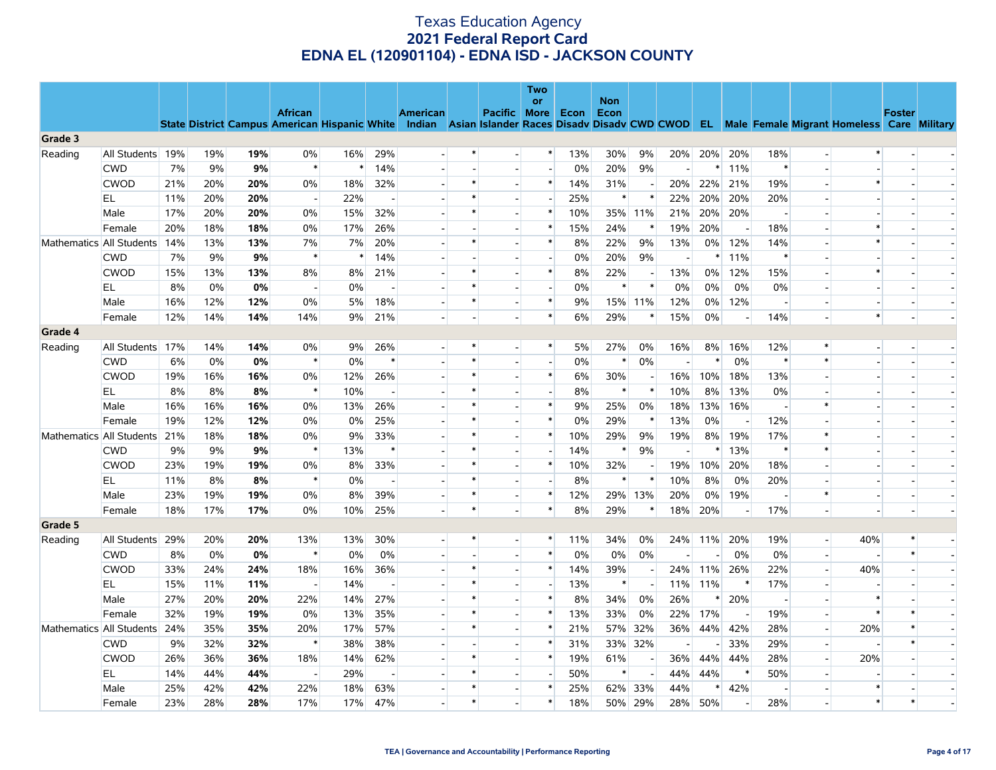|         |                          |     |                                                                                                                                                |     |                          |        |        |                 |        |              | Two<br>or                |      | <b>Non</b> |        |     |        |        |                          |                |                          |               |  |
|---------|--------------------------|-----|------------------------------------------------------------------------------------------------------------------------------------------------|-----|--------------------------|--------|--------|-----------------|--------|--------------|--------------------------|------|------------|--------|-----|--------|--------|--------------------------|----------------|--------------------------|---------------|--|
|         |                          |     | State District Campus American Hispanic White Indian Asian Islander Races Disadv Disadv CWD CWOD EL Male Female Migrant Homeless Care Military |     | <b>African</b>           |        |        | <b>American</b> |        | Pacific More |                          | Econ | Econ       |        |     |        |        |                          |                |                          | <b>Foster</b> |  |
| Grade 3 |                          |     |                                                                                                                                                |     |                          |        |        |                 |        |              |                          |      |            |        |     |        |        |                          |                |                          |               |  |
| Reading | All Students             | 19% | 19%                                                                                                                                            | 19% | $0\%$                    | 16%    | 29%    |                 | $\ast$ |              | $\ast$                   | 13%  | 30%        | 9%     | 20% | 20%    | 20%    | 18%                      | $\overline{a}$ | $\ast$                   |               |  |
|         | <b>CWD</b>               | 7%  | 9%                                                                                                                                             | 9%  | $\ast$                   | $\ast$ | 14%    |                 |        |              |                          | 0%   | 20%        | 9%     |     | ∗      | 11%    | $\ast$                   |                |                          |               |  |
|         | <b>CWOD</b>              | 21% | 20%                                                                                                                                            | 20% | 0%                       | 18%    | 32%    |                 | $\ast$ |              | $\ast$                   | 14%  | 31%        |        | 20% | 22%    | 21%    | 19%                      |                | $\ast$                   |               |  |
|         | EL                       | 11% | 20%                                                                                                                                            | 20% | $\sim$                   | 22%    |        |                 | $\ast$ |              |                          | 25%  | $\ast$     |        | 22% | 20%    | 20%    | 20%                      |                |                          |               |  |
|         | Male                     | 17% | 20%                                                                                                                                            | 20% | 0%                       | 15%    | 32%    |                 | $\ast$ |              | $\ast$                   | 10%  | 35%        | 11%    | 21% | 20%    | 20%    | $\overline{\phantom{a}}$ |                | $\sim$                   |               |  |
|         | Female                   | 20% | 18%                                                                                                                                            | 18% | 0%                       | 17%    | 26%    |                 |        |              | $\ast$                   | 15%  | 24%        | $\ast$ | 19% | 20%    |        | 18%                      |                | *                        |               |  |
|         | Mathematics All Students | 14% | 13%                                                                                                                                            | 13% | 7%                       | 7%     | 20%    |                 | $\ast$ |              | $\ast$                   | 8%   | 22%        | 9%     | 13% | 0%     | 12%    | 14%                      | $\sim$         | $\ast$                   |               |  |
|         | <b>CWD</b>               | 7%  | 9%                                                                                                                                             | 9%  | $\ast$                   |        | 14%    |                 |        |              | $\overline{\phantom{a}}$ | 0%   | 20%        | 9%     |     |        | 11%    | $\ast$                   |                |                          |               |  |
|         | <b>CWOD</b>              | 15% | 13%                                                                                                                                            | 13% | 8%                       | 8%     | 21%    |                 | $\ast$ |              | $\ast$                   | 8%   | 22%        |        | 13% | 0%     | 12%    | 15%                      |                | $\ast$                   |               |  |
|         | EL                       | 8%  | 0%                                                                                                                                             | 0%  | $\overline{\phantom{a}}$ | 0%     |        |                 | $\ast$ |              | $\overline{\phantom{a}}$ | 0%   | $\ast$     | $\ast$ | 0%  | 0%     | 0%     | 0%                       |                | $\overline{\phantom{a}}$ |               |  |
|         | Male                     | 16% | 12%                                                                                                                                            | 12% | 0%                       | 5%     | 18%    |                 | $\ast$ |              | $\ast$                   | 9%   | 15%        | 11%    | 12% | 0%     | 12%    | $\overline{\phantom{a}}$ |                |                          |               |  |
|         | Female                   | 12% | 14%                                                                                                                                            | 14% | 14%                      | 9%     | 21%    |                 |        |              | $\ast$                   | 6%   | 29%        | $\ast$ | 15% | 0%     |        | 14%                      |                | $\ast$                   |               |  |
| Grade 4 |                          |     |                                                                                                                                                |     |                          |        |        |                 |        |              |                          |      |            |        |     |        |        |                          |                |                          |               |  |
| Reading | All Students             | 17% | 14%                                                                                                                                            | 14% | 0%                       | 9%     | 26%    |                 |        |              | $\ast$                   | 5%   | 27%        | 0%     | 16% | 8%     | 16%    | 12%                      | $\ast$         | $\overline{\phantom{a}}$ |               |  |
|         | <b>CWD</b>               | 6%  | $0\%$                                                                                                                                          | 0%  | $\ast$                   | 0%     | $\ast$ |                 |        |              | ÷,                       | 0%   | $\ast$     | 0%     |     | $\ast$ | 0%     | $\ast$                   | $\ast$         |                          |               |  |
|         | <b>CWOD</b>              | 19% | 16%                                                                                                                                            | 16% | 0%                       | 12%    | 26%    |                 |        |              | $\ast$                   | 6%   | 30%        |        | 16% | 10%    | 18%    | 13%                      |                | $\blacksquare$           |               |  |
|         | EL                       | 8%  | 8%                                                                                                                                             | 8%  | $\ast$                   | 10%    |        |                 | $\ast$ |              |                          | 8%   | $\ast$     |        | 10% | 8%     | 13%    | 0%                       |                |                          |               |  |
|         | Male                     | 16% | 16%                                                                                                                                            | 16% | 0%                       | 13%    | 26%    |                 | $\ast$ |              | $\ast$                   | 9%   | 25%        | 0%     | 18% | 13%    | 16%    | $\sim$                   | $\ast$         | $\overline{\phantom{a}}$ |               |  |
|         | Female                   | 19% | 12%                                                                                                                                            | 12% | 0%                       | 0%     | 25%    |                 | $\ast$ |              | $\ast$                   | 0%   | 29%        |        | 13% | 0%     |        | 12%                      |                |                          |               |  |
|         | Mathematics All Students | 21% | 18%                                                                                                                                            | 18% | 0%                       | 9%     | 33%    |                 | $\ast$ |              | $\ast$                   | 10%  | 29%        | 9%     | 19% | 8%     | 19%    | 17%                      | $\ast$         | $\overline{a}$           |               |  |
|         | <b>CWD</b>               | 9%  | 9%                                                                                                                                             | 9%  | $\ast$                   | 13%    | $\ast$ |                 | $\ast$ |              |                          | 14%  | $\ast$     | 9%     |     |        | 13%    | $\ast$                   | $\ast$         |                          |               |  |
|         | <b>CWOD</b>              | 23% | 19%                                                                                                                                            | 19% | 0%                       | 8%     | 33%    |                 | $\ast$ |              | $\ast$                   | 10%  | 32%        |        | 19% | 10%    | 20%    | 18%                      |                |                          |               |  |
|         | EL                       | 11% | 8%                                                                                                                                             | 8%  | $\ast$                   | 0%     |        |                 |        |              |                          | 8%   | $\ast$     |        | 10% | 8%     | 0%     | 20%                      |                |                          |               |  |
|         | Male                     | 23% | 19%                                                                                                                                            | 19% | 0%                       | 8%     | 39%    |                 | $\ast$ |              | $\ast$                   | 12%  | 29%        | 13%    | 20% | 0%     | 19%    | $\overline{\phantom{a}}$ | $\ast$         | $\overline{a}$           |               |  |
|         | Female                   | 18% | 17%                                                                                                                                            | 17% | 0%                       | 10%    | 25%    |                 | $\ast$ |              | $\ast$                   | 8%   | 29%        | $\ast$ | 18% | 20%    |        | 17%                      |                |                          |               |  |
| Grade 5 |                          |     |                                                                                                                                                |     |                          |        |        |                 |        |              |                          |      |            |        |     |        |        |                          |                |                          |               |  |
| Reading | All Students             | 29% | 20%                                                                                                                                            | 20% | 13%                      | 13%    | 30%    |                 | $\ast$ | $\sim$       | $\ast$                   | 11%  | 34%        | 0%     | 24% | 11%    | 20%    | 19%                      | $\sim$         | 40%                      |               |  |
|         | <b>CWD</b>               | 8%  | 0%                                                                                                                                             | 0%  | $\ast$                   | 0%     | 0%     |                 |        |              | $\ast$                   | 0%   | 0%         | 0%     |     |        | 0%     | 0%                       | $\overline{a}$ | $\sim$                   | $\ast$        |  |
|         | <b>CWOD</b>              | 33% | 24%                                                                                                                                            | 24% | 18%                      | 16%    | 36%    |                 |        |              | $\ast$                   | 14%  | 39%        |        | 24% | 11%    | 26%    | 22%                      |                | 40%                      |               |  |
|         | EL.                      | 15% | 11%                                                                                                                                            | 11% | $\overline{\phantom{a}}$ | 14%    |        |                 | $\ast$ |              |                          | 13%  | $\ast$     |        | 11% | 11%    | $\ast$ | 17%                      |                |                          |               |  |
|         | Male                     | 27% | 20%                                                                                                                                            | 20% | 22%                      | 14%    | 27%    |                 |        |              | $\ast$                   | 8%   | 34%        | 0%     | 26% |        | 20%    | $\overline{\phantom{a}}$ |                | *                        |               |  |
|         | Female                   | 32% | 19%                                                                                                                                            | 19% | 0%                       | 13%    | 35%    |                 |        |              | $\ast$                   | 13%  | 33%        | 0%     | 22% | 17%    |        | 19%                      | $\overline{a}$ | $\ast$                   |               |  |
|         | Mathematics All Students | 24% | 35%                                                                                                                                            | 35% | 20%                      | 17%    | 57%    |                 | $\ast$ |              | $\ast$                   | 21%  | 57%        | 32%    | 36% | 44%    | 42%    | 28%                      | $\overline{a}$ | 20%                      | $\ast$        |  |
|         | <b>CWD</b>               | 9%  | 32%                                                                                                                                            | 32% | $\ast$                   | 38%    | 38%    |                 |        |              | $\ast$                   | 31%  | 33%        | 32%    |     |        | 33%    | 29%                      | $\mathbf{r}$   |                          | $\ast$        |  |
|         | <b>CWOD</b>              | 26% | 36%                                                                                                                                            | 36% | 18%                      | 14%    | 62%    |                 | $\ast$ |              | $\ast$                   | 19%  | 61%        |        | 36% | 44%    | 44%    | 28%                      | $\sim$         | 20%                      |               |  |
|         | EL                       | 14% | 44%                                                                                                                                            | 44% | $\overline{\phantom{a}}$ | 29%    |        |                 | $\ast$ |              |                          | 50%  | $\ast$     |        | 44% | 44%    | $\ast$ | 50%                      |                |                          |               |  |
|         | Male                     | 25% | 42%                                                                                                                                            | 42% | 22%                      | 18%    | 63%    |                 | $\ast$ |              | $\ast$                   | 25%  | 62%        | 33%    | 44% | $\ast$ | 42%    |                          |                | $\ast$                   |               |  |
|         | Female                   | 23% | 28%                                                                                                                                            | 28% | 17%                      | 17%    | 47%    |                 | $\ast$ |              | $\ast$                   | 18%  | 50%        | 29%    | 28% | 50%    |        | 28%                      |                | $\ast$                   | $\ast$        |  |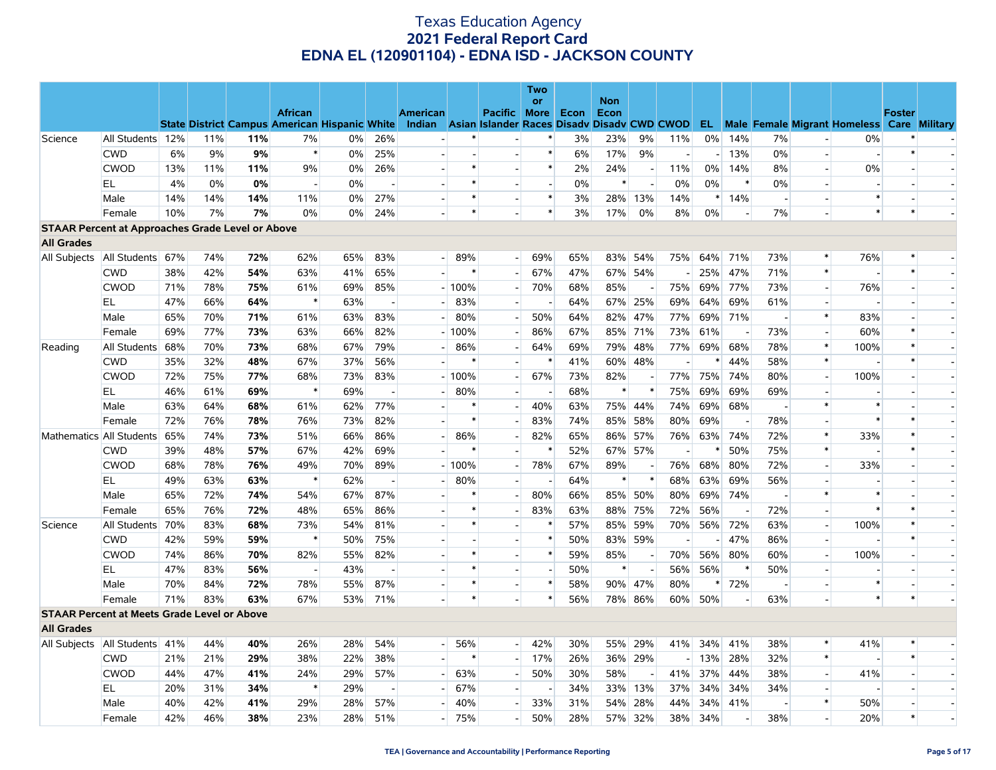|                                                         |                                   |     |     |     |                                                      |     |                          |                                                    |         |                     | Two                      |      |                    |         |                          |        |         |                |                          |                                                      |               |                          |
|---------------------------------------------------------|-----------------------------------|-----|-----|-----|------------------------------------------------------|-----|--------------------------|----------------------------------------------------|---------|---------------------|--------------------------|------|--------------------|---------|--------------------------|--------|---------|----------------|--------------------------|------------------------------------------------------|---------------|--------------------------|
|                                                         |                                   |     |     |     | <b>African</b>                                       |     |                          | <b>American</b>                                    |         | <b>Pacific More</b> | <b>or</b>                | Econ | <b>Non</b><br>Econ |         |                          |        |         |                |                          |                                                      | <b>Foster</b> |                          |
|                                                         |                                   |     |     |     | <b>State District Campus American Hispanic White</b> |     |                          | Indian Asian Islander Races Disady Disady CWD CWOD |         |                     |                          |      |                    |         |                          |        |         |                |                          | <b>EL</b> Male Female Migrant Homeless Care Military |               |                          |
| Science                                                 | All Students 12%                  |     | 11% | 11% | 7%                                                   | 0%  | 26%                      |                                                    | $\ast$  |                     | $\ast$                   | 3%   | 23%                | 9%      | 11%                      | 0%     | 14%     | 7%             |                          | 0%                                                   | $\ast$        |                          |
|                                                         | <b>CWD</b>                        | 6%  | 9%  | 9%  | $\ast$                                               | 0%  | 25%                      |                                                    |         |                     | $\ast$                   | 6%   | 17%                | 9%      | $\overline{\phantom{a}}$ |        | 13%     | 0%             | $\overline{\phantom{a}}$ | $\overline{a}$                                       | $\ast$        |                          |
|                                                         | <b>CWOD</b>                       | 13% | 11% | 11% | 9%                                                   | 0%  | 26%                      |                                                    | $\ast$  |                     | $\ast$                   | 2%   | 24%                |         | 11%                      | $0\%$  | 14%     | 8%             | $\bar{\phantom{a}}$      | 0%                                                   |               |                          |
|                                                         | EL                                | 4%  | 0%  | 0%  | $\overline{\phantom{a}}$                             | 0%  | $\overline{\phantom{a}}$ |                                                    | $\ast$  |                     | $\overline{a}$           | 0%   | $\ast$             |         | 0%                       | 0%     | ∗       | 0%             | $\blacksquare$           |                                                      |               |                          |
|                                                         | Male                              | 14% | 14% | 14% | 11%                                                  | 0%  | 27%                      |                                                    | $\ast$  |                     | $\ast$                   | 3%   | 28%                | 13%     | 14%                      | $\ast$ | 14%     |                |                          | $\ast$                                               |               |                          |
|                                                         | Female                            | 10% | 7%  | 7%  | $0\%$                                                | 0%  | 24%                      |                                                    |         |                     | $\ast$                   | 3%   | 17%                | 0%      | 8%                       | 0%     |         | 7%             |                          | $\ast$                                               | $\ast$        |                          |
| <b>STAAR Percent at Approaches Grade Level or Above</b> |                                   |     |     |     |                                                      |     |                          |                                                    |         |                     |                          |      |                    |         |                          |        |         |                |                          |                                                      |               |                          |
| <b>All Grades</b>                                       |                                   |     |     |     |                                                      |     |                          |                                                    |         |                     |                          |      |                    |         |                          |        |         |                |                          |                                                      |               |                          |
|                                                         | All Subjects   All Students 67%   |     | 74% | 72% | 62%                                                  | 65% | 83%                      |                                                    | $-189%$ |                     | 69%                      | 65%  | 83%                | 54%     | 75%                      |        | 64% 71% | 73%            | $\ast$                   | 76%                                                  |               |                          |
|                                                         | <b>CWD</b>                        | 38% | 42% | 54% | 63%                                                  | 41% | 65%                      |                                                    | $\ast$  |                     | 67%                      | 47%  | 67%                | 54%     |                          | 25%    | 47%     | 71%            | $\ast$                   |                                                      | $\ast$        |                          |
|                                                         | <b>CWOD</b>                       | 71% | 78% | 75% | 61%                                                  | 69% | 85%                      |                                                    | $-100%$ |                     | 70%                      | 68%  | 85%                |         | 75%                      | 69%    | 77%     | 73%            | $\overline{\phantom{a}}$ | 76%                                                  |               |                          |
|                                                         | EL                                | 47% | 66% | 64% | $\ast$                                               | 63% |                          |                                                    | 83%     |                     | $\overline{\phantom{a}}$ | 64%  | 67%                | 25%     | 69%                      | 64%    | 69%     | 61%            | $\overline{\phantom{a}}$ |                                                      |               |                          |
|                                                         | Male                              | 65% | 70% | 71% | 61%                                                  | 63% | 83%                      |                                                    | 80%     |                     | 50%                      | 64%  | 82%                | 47%     | 77%                      | 69%    | 71%     | $\overline{a}$ | $\ast$                   | 83%                                                  |               |                          |
|                                                         | Female                            | 69% | 77% | 73% | 63%                                                  | 66% | 82%                      |                                                    | $-100%$ |                     | 86%                      | 67%  |                    | 85% 71% | 73%                      | 61%    |         | 73%            | $\bar{\phantom{a}}$      | 60%                                                  | $\ast$        |                          |
| Reading                                                 | All Students                      | 68% | 70% | 73% | 68%                                                  | 67% | 79%                      |                                                    | 86%     |                     | 64%                      | 69%  | 79%                | 48%     | 77%                      | 69%    | 68%     | 78%            | $\ast$                   | 100%                                                 | $\ast$        |                          |
|                                                         | <b>CWD</b>                        | 35% | 32% | 48% | 67%                                                  | 37% | 56%                      |                                                    | $\ast$  |                     | ∗                        | 41%  | 60%                | 48%     |                          |        | 44%     | 58%            | $\ast$                   |                                                      | $\ast$        |                          |
|                                                         | <b>CWOD</b>                       | 72% | 75% | 77% | 68%                                                  | 73% | 83%                      |                                                    | $-100%$ |                     | 67%                      | 73%  | 82%                |         | 77%                      | 75%    | 74%     | 80%            | $\blacksquare$           | 100%                                                 |               |                          |
|                                                         | EL                                | 46% | 61% | 69% | $\ast$                                               | 69% |                          |                                                    | 80%     |                     | $\overline{\phantom{a}}$ | 68%  | $\ast$             |         | 75%                      | 69%    | 69%     | 69%            | $\overline{a}$           |                                                      |               |                          |
|                                                         | Male                              | 63% | 64% | 68% | 61%                                                  | 62% | 77%                      |                                                    | $\ast$  |                     | 40%                      | 63%  | 75%                | 44%     | 74%                      | 69%    | 68%     |                | $\ast$                   | $\ast$                                               |               |                          |
|                                                         | Female                            | 72% | 76% | 78% | 76%                                                  | 73% | 82%                      |                                                    | $\ast$  |                     | 83%                      | 74%  | 85%                | 58%     | 80%                      | 69%    |         | 78%            | $\overline{a}$           | $\ast$                                               | $\ast$        |                          |
|                                                         | Mathematics All Students          | 65% | 74% | 73% | 51%                                                  | 66% | 86%                      |                                                    | 86%     |                     | 82%                      | 65%  | 86%                | 57%     | 76%                      |        | 63% 74% | 72%            | $\ast$                   | 33%                                                  | $\ast$        |                          |
|                                                         | <b>CWD</b>                        | 39% | 48% | 57% | 67%                                                  | 42% | 69%                      |                                                    | $\ast$  |                     | $\ast$                   | 52%  | 67%                | 57%     | $\sim$                   |        | 50%     | 75%            | $\ast$                   |                                                      | $\ast$        | $\overline{\phantom{a}}$ |
|                                                         | <b>CWOD</b>                       | 68% | 78% | 76% | 49%                                                  | 70% | 89%                      |                                                    | $-100%$ |                     | 78%                      | 67%  | 89%                |         | 76%                      | 68%    | 80%     | 72%            |                          | 33%                                                  |               |                          |
|                                                         | EL.                               | 49% | 63% | 63% | $\ast$                                               | 62% | $\overline{a}$           |                                                    | 80%     |                     | $\overline{\phantom{a}}$ | 64%  | $\ast$             |         | 68%                      | 63%    | 69%     | 56%            | $\overline{a}$           |                                                      |               | $\overline{\phantom{a}}$ |
|                                                         | Male                              | 65% | 72% | 74% | 54%                                                  | 67% | 87%                      |                                                    |         |                     | 80%                      | 66%  | 85%                | 50%     | 80%                      | 69%    | 74%     |                | $\ast$                   | $\ast$                                               |               |                          |
|                                                         | Female                            | 65% | 76% | 72% | 48%                                                  | 65% | 86%                      |                                                    | $\ast$  |                     | 83%                      | 63%  | 88%                | 75%     | 72%                      | 56%    |         | 72%            |                          | $\ast$                                               |               |                          |
| Science                                                 | All Students 70%                  |     | 83% | 68% | 73%                                                  | 54% | 81%                      |                                                    | $\ast$  |                     | $\ast$                   | 57%  | 85%                | 59%     | 70%                      | 56%    | 72%     | 63%            | $\overline{a}$           | 100%                                                 | $\ast$        |                          |
|                                                         | <b>CWD</b>                        | 42% | 59% | 59% | $\ast$                                               | 50% | 75%                      |                                                    |         |                     | $\ast$                   | 50%  | 83%                | 59%     |                          |        | 47%     | 86%            | $\blacksquare$           |                                                      |               |                          |
|                                                         | <b>CWOD</b>                       | 74% | 86% | 70% | 82%                                                  | 55% | 82%                      |                                                    | $\ast$  |                     | $\ast$                   | 59%  | 85%                |         | 70%                      | 56%    | 80%     | 60%            | $\overline{a}$           | 100%                                                 |               |                          |
|                                                         | <b>EL</b>                         | 47% | 83% | 56% | $\overline{\phantom{a}}$                             | 43% |                          |                                                    | $\ast$  |                     | $\overline{a}$           | 50%  | $\ast$             |         | 56%                      | 56%    |         | 50%            | $\overline{\phantom{a}}$ |                                                      |               |                          |
|                                                         | Male                              | 70% | 84% | 72% | 78%                                                  | 55% | 87%                      |                                                    | $\ast$  | $\sim$              | $\ast$                   | 58%  | 90%                | 47%     | 80%                      |        | 72%     |                | $\sim$                   | $\ast$                                               |               |                          |
|                                                         | Female                            | 71% | 83% | 63% | 67%                                                  | 53% | 71%                      |                                                    | $\ast$  |                     | $\ast$                   | 56%  |                    | 78% 86% | 60%                      | 50%    |         | 63%            | $\overline{a}$           | $\ast$                                               | $\ast$        |                          |
| <b>STAAR Percent at Meets Grade Level or Above</b>      |                                   |     |     |     |                                                      |     |                          |                                                    |         |                     |                          |      |                    |         |                          |        |         |                |                          |                                                      |               |                          |
| <b>All Grades</b>                                       |                                   |     |     |     |                                                      |     |                          |                                                    |         |                     |                          |      |                    |         |                          |        |         |                |                          |                                                      |               |                          |
|                                                         | All Subjects   All Students   41% |     | 44% | 40% | 26%                                                  | 28% | 54%                      | $-$                                                | 56%     | $\sim$              | 42%                      | 30%  | 55%                | 29%     | 41%                      |        | 34% 41% | 38%            | $\ast$                   | 41%                                                  |               |                          |
|                                                         | <b>CWD</b>                        | 21% | 21% | 29% | 38%                                                  | 22% | 38%                      |                                                    | $\ast$  |                     | 17%                      | 26%  | 36%                | 29%     |                          | 13%    | 28%     | 32%            | $\ast$                   |                                                      | $\ast$        |                          |
|                                                         | <b>CWOD</b>                       | 44% | 47% | 41% | 24%                                                  | 29% | 57%                      |                                                    | 63%     |                     | 50%                      | 30%  | 58%                |         | 41%                      | 37%    | 44%     | 38%            | $\overline{\phantom{a}}$ | 41%                                                  |               |                          |
|                                                         | EL                                | 20% | 31% | 34% | $\ast$                                               | 29% |                          |                                                    | 67%     |                     |                          | 34%  | 33%                | 13%     | 37%                      | 34%    | 34%     | 34%            | $\overline{a}$           |                                                      |               |                          |
|                                                         | Male                              | 40% | 42% | 41% | 29%                                                  | 28% | 57%                      |                                                    | 40%     |                     | 33%                      | 31%  | 54%                | 28%     | 44%                      | 34%    | 41%     |                | $\ast$                   | 50%                                                  |               |                          |
|                                                         | Female                            | 42% | 46% | 38% | 23%                                                  | 28% | 51%                      |                                                    | 75%     |                     | 50%                      | 28%  | 57%                | 32%     | 38%                      | 34%    |         | 38%            | $\overline{a}$           | 20%                                                  | $\ast$        |                          |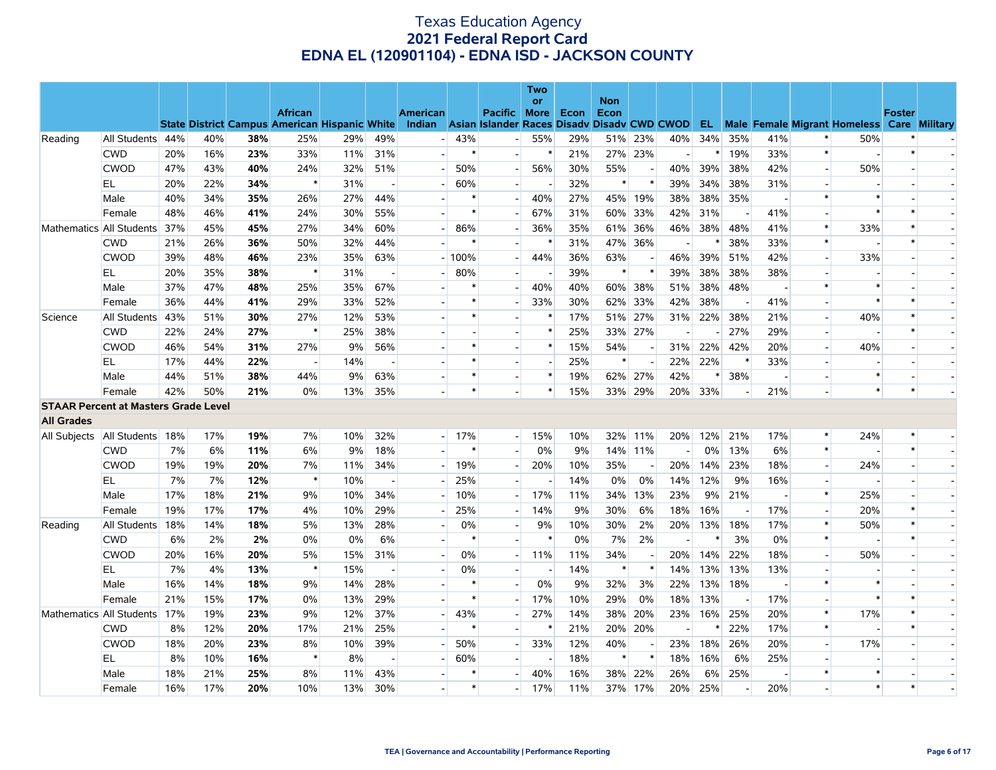|                                             |                  |     |     |     |                                                      |     |     |                 |         |                                             | Two                      |      |                    |     |     |     |     |     |                          |                                                      |               |  |
|---------------------------------------------|------------------|-----|-----|-----|------------------------------------------------------|-----|-----|-----------------|---------|---------------------------------------------|--------------------------|------|--------------------|-----|-----|-----|-----|-----|--------------------------|------------------------------------------------------|---------------|--|
|                                             |                  |     |     |     | <b>African</b>                                       |     |     | <b>American</b> |         | Pacific                                     | or<br><b>More</b>        | Econ | <b>Non</b><br>Econ |     |     |     |     |     |                          |                                                      | <b>Foster</b> |  |
|                                             |                  |     |     |     | <b>State District Campus American Hispanic White</b> |     |     | Indian          |         | Asian Islander Races Disady Disady CWD CWOD |                          |      |                    |     |     |     |     |     |                          | <b>EL</b> Male Female Migrant Homeless Care Military |               |  |
| Reading                                     | All Students 44% |     | 40% | 38% | 25%                                                  | 29% | 49% |                 | 43%     |                                             | 55%                      | 29%  | 51%                | 23% | 40% | 34% | 35% | 41% | $\ast$                   | 50%                                                  | $\ast$        |  |
|                                             | <b>CWD</b>       | 20% | 16% | 23% | 33%                                                  | 11% | 31% |                 | $\ast$  |                                             | $\ast$                   | 21%  | 27%                | 23% |     | ∗   | 19% | 33% | $\ast$                   |                                                      | $\ast$        |  |
|                                             | <b>CWOD</b>      | 47% | 43% | 40% | 24%                                                  | 32% | 51% |                 | 50%     |                                             | 56%                      | 30%  | 55%                |     | 40% | 39% | 38% | 42% | $\overline{a}$           | 50%                                                  |               |  |
|                                             | EL               | 20% | 22% | 34% | $\ast$                                               | 31% |     |                 | 60%     |                                             |                          | 32%  | $\ast$             |     | 39% | 34% | 38% | 31% | $\overline{\phantom{a}}$ |                                                      |               |  |
|                                             | Male             | 40% | 34% | 35% | 26%                                                  | 27% | 44% |                 | $\ast$  |                                             | 40%                      | 27%  | 45%                | 19% | 38% | 38% | 35% |     | $\ast$                   | $\ast$                                               |               |  |
|                                             | Female           | 48% | 46% | 41% | 24%                                                  | 30% | 55% |                 | $\ast$  |                                             | 67%                      | 31%  | 60%                | 33% | 42% | 31% |     | 41% |                          | $\ast$                                               | $\ast$        |  |
| Mathematics All Students                    |                  | 37% | 45% | 45% | 27%                                                  | 34% | 60% | ۰               | 86%     |                                             | 36%                      | 35%  | 61%                | 36% | 46% | 38% | 48% | 41% | $\ast$                   | 33%                                                  | $\ast$        |  |
|                                             | <b>CWD</b>       | 21% | 26% | 36% | 50%                                                  | 32% | 44% |                 |         |                                             |                          | 31%  | 47%                | 36% |     |     | 38% | 33% | $\ast$                   |                                                      | $\ast$        |  |
|                                             | <b>CWOD</b>      | 39% | 48% | 46% | 23%                                                  | 35% | 63% |                 | $-100%$ |                                             | 44%                      | 36%  | 63%                |     | 46% | 39% | 51% | 42% | $\overline{\phantom{a}}$ | 33%                                                  |               |  |
|                                             | ΕL               | 20% | 35% | 38% | $\ast$                                               | 31% |     |                 | 80%     |                                             |                          | 39%  | $\ast$             |     | 39% | 38% | 38% | 38% |                          |                                                      |               |  |
|                                             | Male             | 37% | 47% | 48% | 25%                                                  | 35% | 67% |                 | $\ast$  |                                             | 40%                      | 40%  | 60%                | 38% | 51% | 38% | 48% |     | $\ast$                   | $\ast$                                               |               |  |
|                                             | Female           | 36% | 44% | 41% | 29%                                                  | 33% | 52% |                 | $\ast$  |                                             | 33%                      | 30%  | 62%                | 33% | 42% | 38% |     | 41% |                          | $\ast$                                               |               |  |
| Science                                     | All Students     | 43% | 51% | 30% | 27%                                                  | 12% | 53% |                 | $\ast$  |                                             | $\ast$                   | 17%  | 51%                | 27% | 31% | 22% | 38% | 21% | $\overline{a}$           | 40%                                                  | $\ast$        |  |
|                                             | <b>CWD</b>       | 22% | 24% | 27% | $\ast$                                               | 25% | 38% |                 |         |                                             | $\ast$                   | 25%  | 33%                | 27% |     |     | 27% | 29% | $\sim$                   |                                                      | $\ast$        |  |
|                                             | <b>CWOD</b>      | 46% | 54% | 31% | 27%                                                  | 9%  | 56% |                 | $\ast$  |                                             | $\ast$                   | 15%  | 54%                |     | 31% | 22% | 42% | 20% | $\overline{a}$           | 40%                                                  |               |  |
|                                             | EL               | 17% | 44% | 22% | $\overline{\phantom{a}}$                             | 14% |     |                 | $\ast$  |                                             | $\overline{\phantom{a}}$ | 25%  | $\ast$             |     | 22% | 22% | ∗   | 33% | $\overline{a}$           |                                                      |               |  |
|                                             | Male             | 44% | 51% | 38% | 44%                                                  | 9%  | 63% |                 | *       |                                             | $\ast$                   | 19%  | 62%                | 27% | 42% | ∗   | 38% |     |                          | $\ast$                                               |               |  |
|                                             | Female           | 42% | 50% | 21% | $0\%$                                                | 13% | 35% |                 | $\ast$  |                                             | $\ast$                   | 15%  | 33%                | 29% | 20% | 33% |     | 21% |                          | $\ast$                                               | $\star$       |  |
| <b>STAAR Percent at Masters Grade Level</b> |                  |     |     |     |                                                      |     |     |                 |         |                                             |                          |      |                    |     |     |     |     |     |                          |                                                      |               |  |
| <b>All Grades</b>                           |                  |     |     |     |                                                      |     |     |                 |         |                                             |                          |      |                    |     |     |     |     |     |                          |                                                      |               |  |
| All Subjects   All Students   18%           |                  |     | 17% | 19% | 7%                                                   | 10% | 32% |                 | $-17%$  | $-1$                                        | 15%                      | 10%  | 32%                | 11% | 20% | 12% | 21% | 17% | $\ast$                   | 24%                                                  | $\ast$        |  |
|                                             | <b>CWD</b>       | 7%  | 6%  | 11% | 6%                                                   | 9%  | 18% |                 | $\ast$  |                                             | 0%                       | 9%   | 14%                | 11% |     | 0%  | 13% | 6%  | $\ast$                   |                                                      | $\ast$        |  |
|                                             | CWOD             | 19% | 19% | 20% | 7%                                                   | 11% | 34% |                 | 19%     |                                             | 20%                      | 10%  | 35%                |     | 20% | 14% | 23% | 18% |                          | 24%                                                  |               |  |
|                                             | EL               | 7%  | 7%  | 12% | $\ast$                                               | 10% |     |                 | 25%     |                                             |                          | 14%  | 0%                 | 0%  | 14% | 12% | 9%  | 16% | $\overline{a}$           | $\overline{\phantom{a}}$                             |               |  |
|                                             | Male             | 17% | 18% | 21% | 9%                                                   | 10% | 34% |                 | 10%     |                                             | 17%                      | 11%  | 34%                | 13% | 23% | 9%  | 21% |     | $\ast$                   | 25%                                                  |               |  |
|                                             | Female           | 19% | 17% | 17% | 4%                                                   | 10% | 29% |                 | 25%     |                                             | 14%                      | 9%   | 30%                | 6%  | 18% | 16% |     | 17% | $\overline{a}$           | 20%                                                  | $\ast$        |  |
| Reading                                     | All Students     | 18% | 14% | 18% | 5%                                                   | 13% | 28% |                 | 0%      |                                             | 9%                       | 10%  | 30%                | 2%  | 20% | 13% | 18% | 17% | $\ast$                   | 50%                                                  | $\ast$        |  |
|                                             | <b>CWD</b>       | 6%  | 2%  | 2%  | 0%                                                   | 0%  | 6%  |                 | $\ast$  |                                             | ∗                        | 0%   | 7%                 | 2%  |     | ∗   | 3%  | 0%  | $\ast$                   |                                                      | $\star$       |  |
|                                             | <b>CWOD</b>      | 20% | 16% | 20% | 5%                                                   | 15% | 31% |                 | 0%      |                                             | 11%                      | 11%  | 34%                |     | 20% | 14% | 22% | 18% | $\overline{a}$           | 50%                                                  |               |  |
|                                             | EL               | 7%  | 4%  | 13% | $\ast$                                               | 15% |     |                 | 0%      |                                             |                          | 14%  | $\ast$             |     | 14% | 13% | 13% | 13% |                          |                                                      |               |  |
|                                             | Male             | 16% | 14% | 18% | 9%                                                   | 14% | 28% |                 | $\ast$  |                                             | 0%                       | 9%   | 32%                | 3%  | 22% | 13% | 18% |     | $\ast$                   | $\ast$                                               |               |  |
|                                             | Female           | 21% | 15% | 17% | 0%                                                   | 13% | 29% |                 | $\ast$  |                                             | 17%                      | 10%  | 29%                | 0%  | 18% | 13% |     | 17% | $\overline{a}$           | $\ast$                                               | $\ast$        |  |
| Mathematics All Students                    |                  | 17% | 19% | 23% | 9%                                                   | 12% | 37% |                 | 43%     |                                             | 27%                      | 14%  | 38%                | 20% | 23% | 16% | 25% | 20% | $\ast$                   | 17%                                                  | $\ast$        |  |
|                                             | <b>CWD</b>       | 8%  | 12% | 20% | 17%                                                  | 21% | 25% |                 | $\ast$  |                                             |                          | 21%  | 20%                | 20% |     |     | 22% | 17% | $\ast$                   |                                                      | $\ast$        |  |
|                                             | <b>CWOD</b>      | 18% | 20% | 23% | 8%                                                   | 10% | 39% |                 | 50%     |                                             | 33%                      | 12%  | 40%                |     | 23% | 18% | 26% | 20% | $\overline{\phantom{a}}$ | 17%                                                  |               |  |
|                                             | ΕL               | 8%  | 10% | 16% | $\ast$                                               | 8%  |     |                 | 60%     |                                             |                          | 18%  | $\ast$             |     | 18% | 16% | 6%  | 25% |                          |                                                      |               |  |
|                                             | Male             | 18% | 21% | 25% | 8%                                                   | 11% | 43% |                 | $\ast$  |                                             | 40%                      | 16%  | 38%                | 22% | 26% | 6%  | 25% |     | $\ast$                   | $\ast$                                               |               |  |
|                                             | Female           | 16% | 17% | 20% | 10%                                                  | 13% | 30% |                 | $\ast$  |                                             | 17%                      | 11%  | 37%                | 17% | 20% | 25% |     | 20% |                          | $\ast$                                               | $\ast$        |  |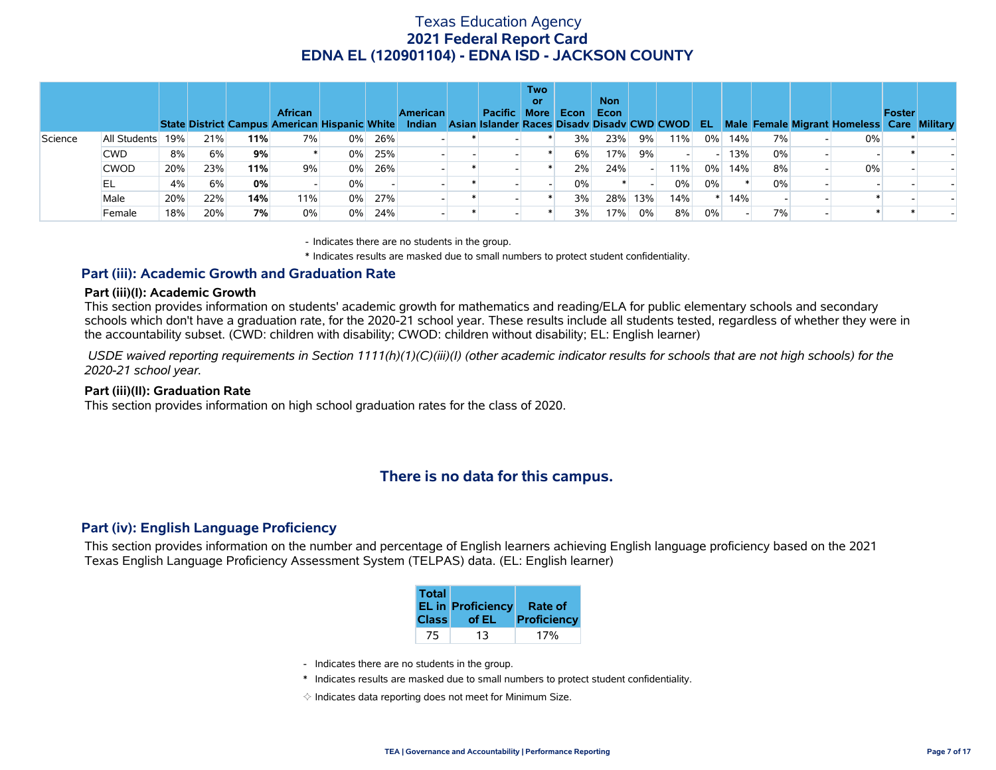|         |              |     |     |     | <b>African</b><br>State District Campus American Hispanic White |       |     | American<br>Indian | <b>Pacific</b><br>Asian Islander Races Disady Disady CWD CWOD | <b>Two</b><br>or<br><b>More</b> | Econ | <b>Non</b><br><b>Econ</b> |     |     | -EL   |     |       | Male Female Migrant Homeless Care Military | <b>Foster</b> |  |
|---------|--------------|-----|-----|-----|-----------------------------------------------------------------|-------|-----|--------------------|---------------------------------------------------------------|---------------------------------|------|---------------------------|-----|-----|-------|-----|-------|--------------------------------------------|---------------|--|
| Science | All Students | 19% | 21% | 11% | 7%                                                              | $0\%$ | 26% |                    |                                                               |                                 | 3%   | 23%                       | 9%  | 11% | $0\%$ | 14% | 7%    | 0%                                         |               |  |
|         | <b>CWD</b>   | 8%  | 6%  | 9%  |                                                                 | $0\%$ | 25% |                    |                                                               |                                 | 6%   | 17%                       | 9%  |     |       | 13% | $0\%$ |                                            |               |  |
|         | <b>CWOD</b>  | 20% | 23% | 11% | 9%                                                              | 0%    | 26% |                    |                                                               |                                 | 2%   | 24%                       |     | 11% | $0\%$ | 14% | 8%    | 0%                                         |               |  |
|         | EL           | 4%  | 6%  | 0%  |                                                                 | $0\%$ |     |                    |                                                               |                                 | 0%   |                           |     | 0%  | $0\%$ |     | 0%    |                                            |               |  |
|         | Male         | 20% | 22% | 14% | 11%                                                             | $0\%$ | 27% |                    |                                                               |                                 | 3%   | 28%                       | 13% | 14% |       | 14% |       |                                            |               |  |
|         | Female       | 18% | 20% | 7%  | 0%                                                              | $0\%$ | 24% |                    |                                                               |                                 | 3%   | 17%                       | 0%  | 8%  | 0%    |     | 7%    |                                            |               |  |

- Indicates there are no students in the group.

\* Indicates results are masked due to small numbers to protect student confidentiality.

#### **Part (iii): Academic Growth and Graduation Rate**

#### **Part (iii)(I): Academic Growth**

This section provides information on students' academic growth for mathematics and reading/ELA for public elementary schools and secondary schools which don't have a graduation rate, for the 2020-21 school year. These results include all students tested, regardless of whether they were in the accountability subset. (CWD: children with disability; CWOD: children without disability; EL: English learner)

 *USDE waived reporting requirements in Section 1111(h)(1)(C)(iii)(I) (other academic indicator results for schools that are not high schools) for the 2020-21 school year.*

#### **Part (iii)(II): Graduation Rate**

This section provides information on high school graduation rates for the class of 2020.

### **There is no data for this campus.**

#### **Part (iv): English Language Proficiency**

This section provides information on the number and percentage of English learners achieving English language proficiency based on the 2021 Texas English Language Proficiency Assessment System (TELPAS) data. (EL: English learner)

| <b>Total</b> | <b>EL in Proficiency</b> | <b>Rate of</b> |
|--------------|--------------------------|----------------|
| <b>Class</b> | of EL                    | Proficiency    |
| 75           | 13                       |                |

- Indicates there are no students in the group.
- \* Indicates results are masked due to small numbers to protect student confidentiality.
- $\diamond$  Indicates data reporting does not meet for Minimum Size.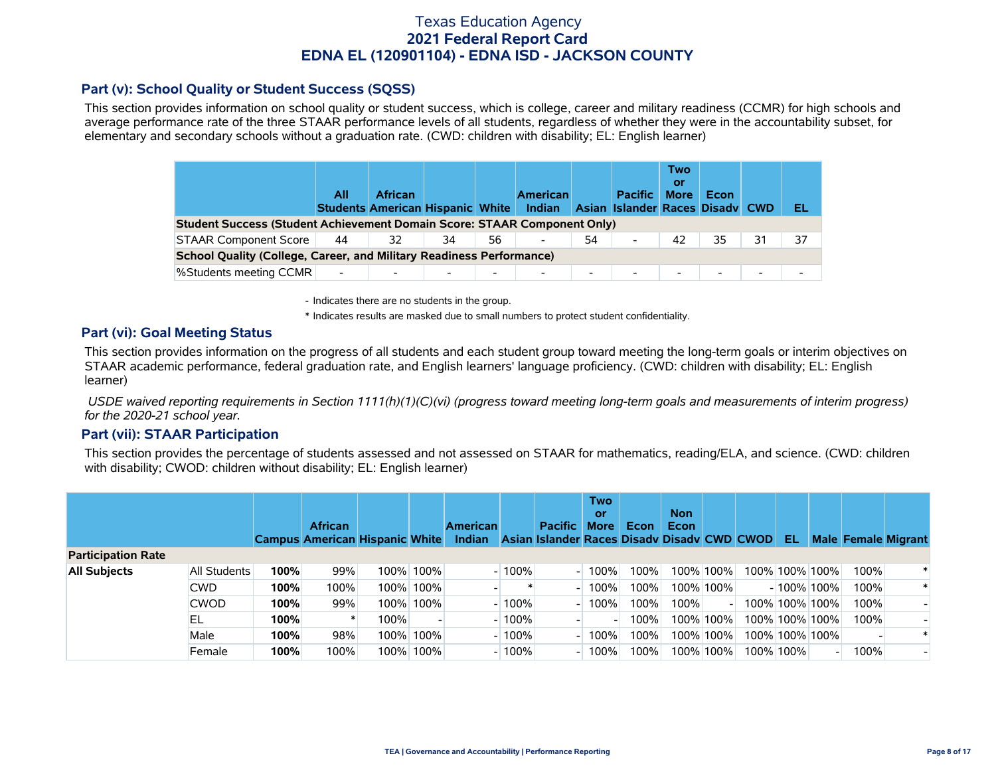### **Part (v): School Quality or Student Success (SQSS)**

This section provides information on school quality or student success, which is college, career and military readiness (CCMR) for high schools and average performance rate of the three STAAR performance levels of all students, regardless of whether they were in the accountability subset, for elementary and secondary schools without a graduation rate. (CWD: children with disability; EL: English learner)

|                                                                                                                                                                           | All                      | <b>African</b> |    |                          | Indian                   |                          | <b>Pacific</b>           | Two<br>0ľ<br><b>More</b> | Econ   |    | EL |  |  |  |
|---------------------------------------------------------------------------------------------------------------------------------------------------------------------------|--------------------------|----------------|----|--------------------------|--------------------------|--------------------------|--------------------------|--------------------------|--------|----|----|--|--|--|
| <b>American</b><br><b>Students American Hispanic White</b><br>Asian Islander Races Disady CWD<br>Student Success (Student Achievement Domain Score: STAAR Component Only) |                          |                |    |                          |                          |                          |                          |                          |        |    |    |  |  |  |
| <b>STAAR Component Score</b>                                                                                                                                              | 44                       | 32             | 34 | 56                       |                          | 54                       | $\overline{\phantom{a}}$ | 42                       | 35     | 31 | 37 |  |  |  |
| <b>School Quality (College, Career, and Military Readiness Performance)</b>                                                                                               |                          |                |    |                          |                          |                          |                          |                          |        |    |    |  |  |  |
| <b>%Students meeting CCMR</b>                                                                                                                                             | $\overline{\phantom{a}}$ |                |    | $\overline{\phantom{0}}$ | $\overline{\phantom{0}}$ | $\overline{\phantom{0}}$ | $\overline{\phantom{a}}$ | $\overline{\phantom{0}}$ | $\sim$ |    |    |  |  |  |

- Indicates there are no students in the group.

\* Indicates results are masked due to small numbers to protect student confidentiality.

### **Part (vi): Goal Meeting Status**

This section provides information on the progress of all students and each student group toward meeting the long-term goals or interim objectives on STAAR academic performance, federal graduation rate, and English learners' language proficiency. (CWD: children with disability; EL: English learner)

 *USDE waived reporting requirements in Section 1111(h)(1)(C)(vi) (progress toward meeting long-term goals and measurements of interim progress) for the 2020-21 school year.*

#### **Part (vii): STAAR Participation**

This section provides the percentage of students assessed and not assessed on STAAR for mathematics, reading/ELA, and science. (CWD: children with disability; CWOD: children without disability; EL: English learner)

|                           |              |      | <b>African</b><br><b>Campus American Hispanic White</b> |      |           | <b>American</b><br>Indian |         | <b>Pacific</b><br>Asian Islander Races Disady Disady CWD CWOD | Two<br>or<br><b>More</b> | Econ | <b>Non</b><br>Econ |             | -EL       |                |      | <b>Male Female Migrant</b> |
|---------------------------|--------------|------|---------------------------------------------------------|------|-----------|---------------------------|---------|---------------------------------------------------------------|--------------------------|------|--------------------|-------------|-----------|----------------|------|----------------------------|
| <b>Participation Rate</b> |              |      |                                                         |      |           |                           |         |                                                               |                          |      |                    |             |           |                |      |                            |
| <b>All Subjects</b>       | All Students | 100% | 99%                                                     |      | 100% 100% |                           | $-100%$ |                                                               | 100%                     | 100% |                    | 100% 100%   |           | 100% 100% 100% | 100% |                            |
|                           | <b>CWD</b>   | 100% | 100%                                                    | 100% | 100%      |                           |         |                                                               | $100\%$                  | 100% |                    | 100% 100%   |           | $-100\%$ 100%  | 100% |                            |
|                           | <b>CWOD</b>  | 100% | 99%                                                     | 100% | 100%      |                           | $-100%$ |                                                               | 100%                     | 100% | 100%               |             |           | 100% 100% 100% | 100% |                            |
|                           | ΈL           | 100% |                                                         | 100% |           |                           | $-100%$ |                                                               |                          | 100% |                    | 100% 100% l |           | 100% 100% 100% | 100% |                            |
|                           | Male         | 100% | 98%                                                     | 100% | 100%      |                           | $-100%$ |                                                               | 100%                     | 100% |                    | 100% 100% l |           | 100% 100% 100% |      |                            |
|                           | Female       | 100% | 100%                                                    | 100% | 100%      |                           | $-100%$ |                                                               | $100\%$                  | 100% |                    | 100% 100% l | 100% 100% |                | 100% |                            |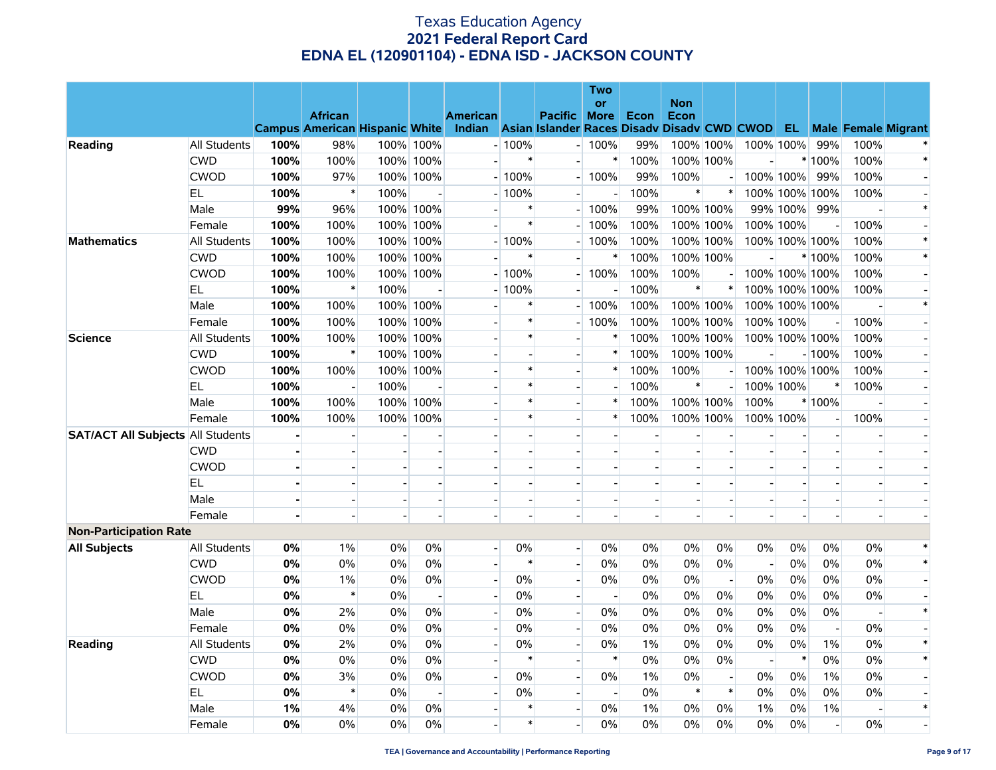|                                          |                     |      | <b>African</b><br>Campus American Hispanic White Indian Asian Islander Races Disadv Disadv CWD CWOD EL |      |                          | <b>American</b> |                | Pacific More             | Two<br><b>or</b>                 | Econ           | <b>Non</b><br>Econ |                          |                          |                          |                          |                | <b>Male Female Migrant</b> |
|------------------------------------------|---------------------|------|--------------------------------------------------------------------------------------------------------|------|--------------------------|-----------------|----------------|--------------------------|----------------------------------|----------------|--------------------|--------------------------|--------------------------|--------------------------|--------------------------|----------------|----------------------------|
| Reading                                  | <b>All Students</b> | 100% | 98%                                                                                                    |      | 100% 100%                |                 | $-100%$        |                          | $-100%$                          | 99%            | 100% 100%          |                          |                          | 100% 100%                | 99%                      | 100%           |                            |
|                                          | <b>CWD</b>          | 100% | 100%                                                                                                   |      | 100% 100%                |                 | $\ast$         |                          | $\ast$                           | 100%           | 100% 100%          |                          | $\overline{a}$           |                          | $*100%$                  | 100%           | $\ast$                     |
|                                          | <b>CWOD</b>         | 100% | 97%                                                                                                    |      | 100% 100%                |                 | $-100%$        |                          | $-100%$                          | 99%            | 100%               |                          |                          | 100% 100%                | 99%                      | 100%           |                            |
|                                          | EL.                 | 100% | $\ast$                                                                                                 | 100% |                          |                 | $-100%$        |                          | $\blacksquare$                   | 100%           | $\pmb{\ast}$       | $\ast$                   |                          | 100% 100% 100%           |                          | 100%           |                            |
|                                          | Male                | 99%  | 96%                                                                                                    |      | 100% 100%                |                 | $\ast$         | $\overline{\phantom{a}}$ | 100%                             | 99%            | 100% 100%          |                          |                          | 99% 100%                 | 99%                      |                | $\ast$                     |
|                                          | Female              | 100% | 100%                                                                                                   |      | 100% 100%                |                 | $\ast$         |                          | 100%                             | 100%           |                    | 100% 100%                |                          | 100% 100%                |                          | 100%           |                            |
| <b>Mathematics</b>                       | All Students        | 100% | 100%                                                                                                   |      | 100% 100%                |                 | $-100%$        |                          | 100%                             | 100%           |                    | 100% 100%                |                          | 100% 100% 100%           |                          | 100%           | $\ast$                     |
|                                          | <b>CWD</b>          | 100% | 100%                                                                                                   |      | 100% 100%                |                 | $\ast$         |                          | $\ast$                           | 100%           | 100% 100%          |                          |                          |                          | * 100%                   | 100%           | $\ast$                     |
|                                          | <b>CWOD</b>         | 100% | 100%                                                                                                   |      | 100% 100%                |                 | $-100%$        |                          | $- 100%$                         | 100%           | 100%               |                          |                          | 100% 100% 100%           |                          | 100%           |                            |
|                                          | EL                  | 100% | $\ast$                                                                                                 | 100% |                          |                 | $-100%$        |                          | $\overline{\phantom{a}}$         | 100%           | $\ast$             | $\ast$                   |                          | 100% 100% 100%           |                          | 100%           |                            |
|                                          | Male                | 100% | 100%                                                                                                   |      | 100% 100%                |                 | $\ast$         |                          | 100%                             | 100%           | 100% 100%          |                          |                          | 100% 100% 100%           |                          |                | $\ast$                     |
|                                          | Female              | 100% | 100%                                                                                                   |      | 100% 100%                |                 | $\ast$         |                          | 100%<br>$\overline{\phantom{a}}$ | 100%           |                    | 100% 100%                |                          | 100% 100%                |                          | 100%           |                            |
| <b>Science</b>                           | All Students        | 100% | 100%                                                                                                   |      | 100% 100%                |                 | $\ast$         | $\overline{\phantom{a}}$ | $\ast$                           | 100%           | 100% 100%          |                          |                          | 100% 100% 100%           |                          | 100%           |                            |
|                                          | <b>CWD</b>          | 100% | $\ast$                                                                                                 |      | 100% 100%                |                 |                | $\blacksquare$           | $\ast$                           | 100%           | 100% 100%          |                          |                          |                          | $-100%$                  | 100%           |                            |
|                                          | <b>CWOD</b>         | 100% | 100%                                                                                                   |      | 100% 100%                |                 | $\ast$         |                          | $\ast$                           | 100%           | 100%               |                          |                          | 100% 100% 100%           |                          | 100%           |                            |
|                                          | EL                  | 100% |                                                                                                        | 100% |                          |                 | $\ast$         | $\overline{a}$           |                                  | 100%           | $\ast$             |                          |                          | 100% 100%                | $\ast$                   | 100%           |                            |
|                                          | Male                | 100% | 100%                                                                                                   |      | 100% 100%                |                 | $\ast$         | $\overline{a}$           | $\ast$                           | 100%           | 100% 100%          |                          | 100%                     |                          | * 100%                   |                |                            |
|                                          | Female              | 100% | 100%                                                                                                   |      | 100% 100%                |                 | $\ast$         |                          | $\ast$                           | 100%           | 100% 100%          |                          |                          | 100% 100%                | $\overline{a}$           | 100%           |                            |
| <b>SAT/ACT All Subjects All Students</b> |                     |      |                                                                                                        |      |                          |                 |                |                          | $\overline{a}$                   | $\blacksquare$ |                    |                          |                          |                          | $\overline{a}$           |                |                            |
|                                          | <b>CWD</b>          |      |                                                                                                        |      |                          |                 | $\blacksquare$ | $\overline{\phantom{a}}$ | $\overline{\phantom{a}}$         |                |                    |                          |                          | $\overline{\phantom{a}}$ | $\overline{\phantom{a}}$ |                |                            |
|                                          | <b>CWOD</b>         |      |                                                                                                        |      |                          |                 |                | $\overline{\phantom{a}}$ |                                  |                |                    |                          |                          |                          | $\blacksquare$           |                |                            |
|                                          | EL.                 |      |                                                                                                        |      |                          |                 |                |                          |                                  |                |                    |                          |                          |                          | $\overline{a}$           |                |                            |
|                                          | Male                |      |                                                                                                        |      |                          |                 | $\blacksquare$ | $\overline{a}$           | $\blacksquare$                   | $\overline{a}$ | $\sim$             |                          |                          |                          | $\blacksquare$           | $\blacksquare$ |                            |
|                                          | Female              |      |                                                                                                        |      |                          |                 | $\overline{a}$ | $\blacksquare$           | $\blacksquare$                   |                |                    |                          |                          |                          |                          |                |                            |
| <b>Non-Participation Rate</b>            |                     |      |                                                                                                        |      |                          |                 |                |                          |                                  |                |                    |                          |                          |                          |                          |                |                            |
| <b>All Subjects</b>                      | All Students        | 0%   | $1\%$                                                                                                  | 0%   | 0%                       | $\Box$          | 0%             | $\overline{\phantom{0}}$ | 0%                               | 0%             | 0%                 | 0%                       | 0%                       | 0%                       | 0%                       | 0%             | $\ast$                     |
|                                          | <b>CWD</b>          | 0%   | 0%                                                                                                     | 0%   | $0\%$                    | $\overline{a}$  | $\ast$         | $\overline{\phantom{a}}$ | 0%                               | $0\%$          | $0\%$              | 0%                       | $\sim$                   | 0%                       | 0%                       | $0\%$          | $\ast$                     |
|                                          | <b>CWOD</b>         | 0%   | $1\%$                                                                                                  | 0%   | 0%                       |                 | $0\%$          | $\overline{a}$           | 0%                               | $0\%$          | 0%                 | $\sim$                   | 0%                       | 0%                       | 0%                       | 0%             |                            |
|                                          | EL                  | 0%   | $\ast$                                                                                                 | 0%   |                          |                 | $0\%$          | $\overline{\phantom{a}}$ |                                  | $0\%$          | 0%                 | 0%                       | 0%                       | 0%                       | 0%                       | $0\%$          |                            |
|                                          | Male                | 0%   | 2%                                                                                                     | 0%   | $0\%$                    | $\overline{a}$  | $0\%$          | $\mathbf{L}$             | 0%                               | 0%             | 0%                 | 0%                       | 0%                       | 0%                       | 0%                       | $\overline{a}$ | $\ast$                     |
|                                          | Female              | 0%   | 0%                                                                                                     | 0%   | $0\%$                    |                 | $0\%$          | $\overline{a}$           | 0%                               | $0\%$          | 0%                 | 0%                       | 0%                       | 0%                       | $\blacksquare$           | $0\%$          |                            |
| Reading                                  | <b>All Students</b> | 0%   | 2%                                                                                                     | 0%   | $0\%$                    |                 | 0%             |                          | $0\%$                            | 1%             | $0\%$              | 0%                       | 0%                       | 0%                       | $1\%$                    | 0%             | $\ast$                     |
|                                          | <b>CWD</b>          | 0%   | 0%                                                                                                     | 0%   | 0%                       |                 | $\ast$         | $\overline{a}$           | $\ast$                           | 0%             | 0%                 | 0%                       | $\overline{\phantom{a}}$ | $\ast$                   | 0%                       | 0%             | $\ast$                     |
|                                          | <b>CWOD</b>         | 0%   | 3%                                                                                                     | 0%   | $0\%$                    | $\overline{a}$  | $0\%$          | $\overline{\phantom{a}}$ | 0%                               | 1%             | $0\%$              | $\overline{\phantom{a}}$ | 0%                       | 0%                       | $1\%$                    | 0%             |                            |
|                                          | EL                  | 0%   | $\ast$                                                                                                 | 0%   | $\overline{\phantom{a}}$ | $\Box$          | 0%             | $\overline{a}$           | $\overline{\phantom{a}}$         | 0%             | $\ast$             | $\ast$                   | 0%                       | 0%                       | 0%                       | 0%             |                            |
|                                          | Male                | 1%   | 4%                                                                                                     | 0%   | $0\%$                    |                 | $\ast$         | $\Box$                   | $0\%$                            | $1\%$          | $0\%$              | 0%                       | $1\%$                    | 0%                       | $1\%$                    |                | $\ast$                     |
|                                          | Female              | 0%   | 0%                                                                                                     | 0%   | 0%                       |                 | $\ast$         | $\overline{\phantom{a}}$ | 0%                               | 0%             | $0\%$              | 0%                       | 0%                       | 0%                       | $\sim$                   | 0%             |                            |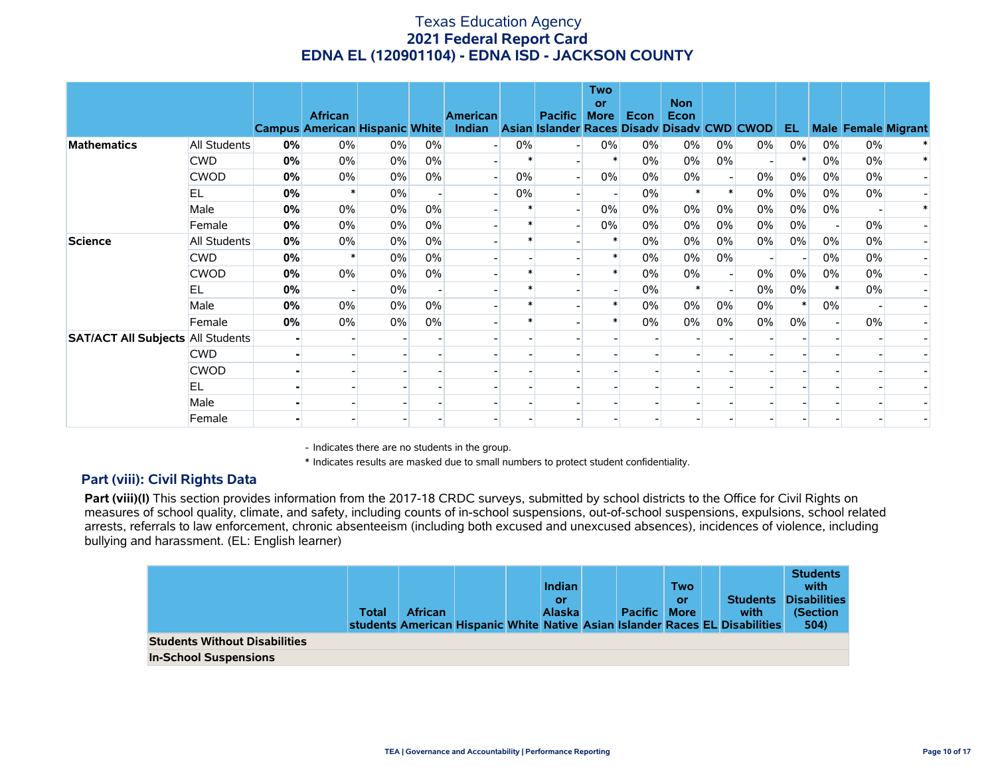|                                          |                     |    | <b>African</b><br><b>Campus American Hispanic White</b> |       |                          | <b>American</b><br>Indian Asian Islander Races Disady Disady CWD CWOD |        | <b>Pacific</b> | <b>Two</b><br>or<br><b>More</b> | Econ  | <b>Non</b><br><b>Econ</b> |       |                          | EL.   |                          |       | <b>Male Female Migrant</b> |
|------------------------------------------|---------------------|----|---------------------------------------------------------|-------|--------------------------|-----------------------------------------------------------------------|--------|----------------|---------------------------------|-------|---------------------------|-------|--------------------------|-------|--------------------------|-------|----------------------------|
| <b>Mathematics</b>                       | <b>All Students</b> | 0% | $0\%$                                                   | $0\%$ | $0\%$                    | - 1                                                                   | $0\%$  |                | $0\%$                           | $0\%$ | $0\%$                     | $0\%$ | $0\%$                    | $0\%$ | $0\%$                    | $0\%$ |                            |
|                                          | <b>CWD</b>          | 0% | $0\%$                                                   | $0\%$ | 0%                       |                                                                       |        |                |                                 | $0\%$ | 0%                        | $0\%$ |                          |       | 0%                       | 0%    |                            |
|                                          | <b>CWOD</b>         | 0% | $0\%$                                                   | $0\%$ | 0%                       |                                                                       | 0%     |                | 0%                              | 0%    | $0\%$                     |       | 0%                       | $0\%$ | $0\%$                    | $0\%$ |                            |
|                                          | EL                  | 0% |                                                         | $0\%$ | $\overline{\phantom{a}}$ |                                                                       | 0%     |                |                                 | $0\%$ | $\ast$                    |       | $0\%$                    | $0\%$ | $0\%$                    | $0\%$ |                            |
|                                          | Male                | 0% | $0\%$                                                   | 0%    | 0%                       |                                                                       | $\ast$ |                | 0%                              | $0\%$ | 0%                        | $0\%$ | $0\%$                    | $0\%$ | 0%                       |       |                            |
|                                          | Female              | 0% | $0\%$                                                   | $0\%$ | 0%                       |                                                                       |        |                | 0%                              | 0%    | 0%                        | $0\%$ | $0\%$                    | 0%    |                          | 0%    |                            |
| <b>Science</b>                           | All Students        | 0% | $0\%$                                                   | $0\%$ | 0%                       |                                                                       | $\ast$ |                | $\ast$                          | $0\%$ | $0\%$                     | $0\%$ | $0\%$                    | 0%    | $0\%$                    | 0%    |                            |
|                                          | <b>CWD</b>          | 0% |                                                         | $0\%$ | 0%                       |                                                                       |        |                |                                 | $0\%$ | 0%                        | $0\%$ | $\overline{\phantom{0}}$ |       | $0\%$                    | 0%    |                            |
|                                          | <b>CWOD</b>         | 0% | 0%                                                      | $0\%$ | 0%                       |                                                                       |        |                |                                 | 0%    | 0%                        |       | 0%                       | $0\%$ | $0\%$                    | 0%    |                            |
|                                          | EL                  | 0% |                                                         | 0%    |                          |                                                                       |        |                |                                 | 0%    |                           |       | $0\%$                    | $0\%$ |                          | 0%    |                            |
|                                          | Male                | 0% | 0%                                                      | 0%    | 0%                       |                                                                       |        |                |                                 | $0\%$ | 0%                        | $0\%$ | 0%                       |       | 0%                       |       |                            |
|                                          | Female              | 0% | $0\%$                                                   | $0\%$ | 0%                       |                                                                       |        |                |                                 | $0\%$ | 0%                        | $0\%$ | $0\%$                    | $0\%$ | $\overline{\phantom{0}}$ | 0%    |                            |
| <b>SAT/ACT All Subjects All Students</b> |                     |    |                                                         |       |                          |                                                                       |        |                |                                 |       |                           |       |                          |       |                          |       |                            |
|                                          | <b>CWD</b>          |    |                                                         |       |                          |                                                                       |        |                |                                 |       |                           |       |                          |       |                          |       |                            |
|                                          | <b>CWOD</b>         |    |                                                         |       |                          |                                                                       |        |                |                                 |       |                           |       |                          |       |                          |       |                            |
|                                          | EL                  |    |                                                         |       |                          |                                                                       |        |                |                                 |       |                           |       |                          |       |                          |       |                            |
|                                          | Male                |    |                                                         |       |                          |                                                                       |        |                |                                 |       |                           |       |                          |       |                          |       |                            |
|                                          | Female              |    |                                                         |       |                          |                                                                       |        |                |                                 |       |                           |       |                          |       |                          |       |                            |

- Indicates there are no students in the group.

\* Indicates results are masked due to small numbers to protect student confidentiality.

### **Part (viii): Civil Rights Data**

Part (viii)(I) This section provides information from the 2017-18 CRDC surveys, submitted by school districts to the Office for Civil Rights on measures of school quality, climate, and safety, including counts of in-school suspensions, out-of-school suspensions, expulsions, school related arrests, referrals to law enforcement, chronic absenteeism (including both excused and unexcused absences), incidences of violence, including bullying and harassment. (EL: English learner)

|                                      | Total | <b>African</b> |  | <b>Indian</b><br>or<br><b>Alaska</b> | <b>Pacific More</b> | <b>Two</b><br>or | <b>Students</b><br>with<br>students American Hispanic White Native Asian Islander Races EL Disabilities | <b>Students</b><br>with<br><b>Disabilities</b><br>(Section<br>504) |
|--------------------------------------|-------|----------------|--|--------------------------------------|---------------------|------------------|---------------------------------------------------------------------------------------------------------|--------------------------------------------------------------------|
| <b>Students Without Disabilities</b> |       |                |  |                                      |                     |                  |                                                                                                         |                                                                    |
| <b>In-School Suspensions</b>         |       |                |  |                                      |                     |                  |                                                                                                         |                                                                    |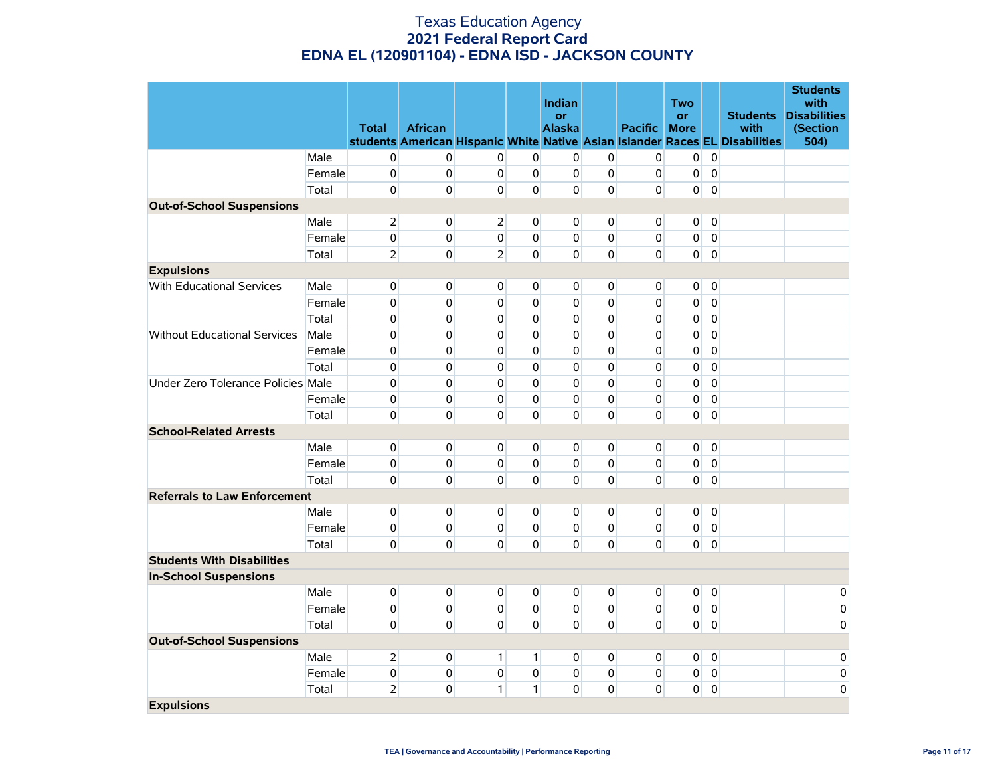|                                     |        |                |                |                |                | Indian              |                |                     | Two            |             |                                                                              | <b>Students</b><br>with         |
|-------------------------------------|--------|----------------|----------------|----------------|----------------|---------------------|----------------|---------------------|----------------|-------------|------------------------------------------------------------------------------|---------------------------------|
|                                     |        | <b>Total</b>   | <b>African</b> |                |                | or<br><b>Alaska</b> |                | <b>Pacific More</b> | or             |             | <b>Students</b><br>with                                                      | <b>Disabilities</b><br>(Section |
|                                     |        |                |                |                |                |                     |                |                     |                |             | students American Hispanic White Native Asian Islander Races EL Disabilities | 504)                            |
|                                     | Male   | 0              | $\overline{0}$ | 0              | 0              | 0                   | 0              | $\overline{0}$      | $\overline{0}$ | $\mathbf 0$ |                                                                              |                                 |
|                                     | Female | $\mathbf 0$    | $\mathbf 0$    | 0              | 0              | $\mathbf 0$         | 0              | $\overline{0}$      | $\pmb{0}$      | $\mathbf 0$ |                                                                              |                                 |
|                                     | Total  | 0              | 0              | 0              | 0              | 0                   | 0              | 0                   | $\overline{0}$ | $\mathbf 0$ |                                                                              |                                 |
| <b>Out-of-School Suspensions</b>    |        |                |                |                |                |                     |                |                     |                |             |                                                                              |                                 |
|                                     | Male   | $\overline{2}$ | 0              | $\overline{2}$ | 0              | $\mathbf 0$         | 0              | $\overline{0}$      | $\overline{0}$ | $\mathbf 0$ |                                                                              |                                 |
|                                     | Female | $\mathbf 0$    | $\mathbf{0}$   | 0              | $\Omega$       | $\mathbf{0}$        | 0              | $\overline{0}$      | $\overline{0}$ | $\mathbf 0$ |                                                                              |                                 |
|                                     | Total  | 2              | $\overline{0}$ | $\overline{2}$ | $\mathbf{0}$   | $\overline{0}$      | 0              | $\overline{0}$      | $\overline{0}$ | $\pmb{0}$   |                                                                              |                                 |
| <b>Expulsions</b>                   |        |                |                |                |                |                     |                |                     |                |             |                                                                              |                                 |
| <b>With Educational Services</b>    | Male   | 0              | 0              | $\mathbf 0$    | 0              | $\overline{0}$      | 0              | $\overline{0}$      | 0              | 0           |                                                                              |                                 |
|                                     | Female | $\mathbf 0$    | $\mathbf{0}$   | $\Omega$       | $\mathbf 0$    | $\Omega$            | 0              | 0                   | $\mathbf 0$    | $\mathbf 0$ |                                                                              |                                 |
|                                     | Total  | 0              | 0              | 0              | $\Omega$       | $\mathbf{0}$        | 0              | 0                   | $\pmb{0}$      | $\pmb{0}$   |                                                                              |                                 |
| <b>Without Educational Services</b> | Male   | $\pmb{0}$      | $\mathbf 0$    | $\Omega$       | $\Omega$       | $\Omega$            | $\mathbf{0}$   | 0                   | $\pmb{0}$      | $\mathbf 0$ |                                                                              |                                 |
|                                     | Female | 0              | 0              | 0              | 0              | 0                   | 0              | 0                   | 0              | $\pmb{0}$   |                                                                              |                                 |
|                                     | Total  | 0              | 0              | 0              | 0              | 0                   | 0              | 0                   | $\pmb{0}$      | $\pmb{0}$   |                                                                              |                                 |
| Under Zero Tolerance Policies Male  |        | $\mathbf 0$    | $\mathbf 0$    | $\Omega$       | $\mathbf 0$    | 0                   | 0              | 0                   | 0              | $\pmb{0}$   |                                                                              |                                 |
|                                     | Female | 0              | 0              | 0              | 0              | 0                   | 0              | 0                   | 0              | $\mathbf 0$ |                                                                              |                                 |
|                                     | Total  | 0              | $\mathbf 0$    | $\mathbf 0$    | $\Omega$       | $\Omega$            | $\mathbf 0$    | $\Omega$            | 0              | $\pmb{0}$   |                                                                              |                                 |
| <b>School-Related Arrests</b>       |        |                |                |                |                |                     |                |                     |                |             |                                                                              |                                 |
|                                     | Male   | 0              | $\overline{0}$ | 0              | $\overline{0}$ | $\overline{0}$      | $\overline{0}$ | $\overline{0}$      | $\overline{0}$ | $\pmb{0}$   |                                                                              |                                 |
|                                     | Female | 0              | $\mathbf{0}$   | $\mathbf{0}$   | 0              | $\overline{0}$      | 0              | $\overline{0}$      | 0              | 0           |                                                                              |                                 |
|                                     | Total  | 0              | $\Omega$       | $\Omega$       | $\Omega$       | $\Omega$            | $\mathbf{0}$   | $\Omega$            | $\overline{0}$ | $\mathbf 0$ |                                                                              |                                 |
| <b>Referrals to Law Enforcement</b> |        |                |                |                |                |                     |                |                     |                |             |                                                                              |                                 |
|                                     | Male   | $\pmb{0}$      | $\mathbf 0$    | 0              | 0              | $\overline{0}$      | 0              | $\overline{0}$      | $\overline{0}$ | $\mathbf 0$ |                                                                              |                                 |
|                                     | Female | $\mathbf 0$    | 0              | $\overline{0}$ | $\mathbf{0}$   | $\mathbf 0$         | $\overline{0}$ | $\overline{0}$      | $\overline{0}$ | $\pmb{0}$   |                                                                              |                                 |
|                                     | Total  | 0              | $\mathbf{0}$   | $\Omega$       | 0              | $\Omega$            | 0              | $\Omega$            | $\overline{0}$ | $\mathbf 0$ |                                                                              |                                 |
| <b>Students With Disabilities</b>   |        |                |                |                |                |                     |                |                     |                |             |                                                                              |                                 |
| <b>In-School Suspensions</b>        |        |                |                |                |                |                     |                |                     |                |             |                                                                              |                                 |
|                                     | Male   | 0              | 0              | 0              | 0              | $\mathbf 0$         | 0              | $\overline{0}$      | $\overline{0}$ | $\pmb{0}$   |                                                                              | 0                               |
|                                     | Female | 0              | $\mathbf 0$    | 0              | 0              | 0                   | 0              | 0                   | 0              | $\pmb{0}$   |                                                                              | $\mathsf 0$                     |
|                                     | Total  | 0              | $\mathbf{0}$   | $\Omega$       | $\Omega$       | $\overline{0}$      | 0              | $\Omega$            | $\overline{0}$ | $\pmb{0}$   |                                                                              | 0                               |
| <b>Out-of-School Suspensions</b>    |        |                |                |                |                |                     |                |                     |                |             |                                                                              |                                 |
|                                     | Male   | 2              | $\overline{0}$ | $\mathbf{1}$   | $\mathbf{1}$   | $\overline{0}$      | $\overline{0}$ | $\overline{0}$      | $\overline{0}$ | $\mathbf 0$ |                                                                              | 0                               |
|                                     | Female | 0              | $\mathbf{0}$   | 0              | 0              | $\overline{0}$      | 0              | $\overline{0}$      | 0              | 0           |                                                                              | 0                               |
|                                     | Total  | $\overline{2}$ | 0              | $\mathbf{1}$   | $\mathbf{1}$   | $\overline{0}$      | 0              | 0                   | $\mathbf 0$    | $\mathbf 0$ |                                                                              | 0                               |
| <b>Expulsions</b>                   |        |                |                |                |                |                     |                |                     |                |             |                                                                              |                                 |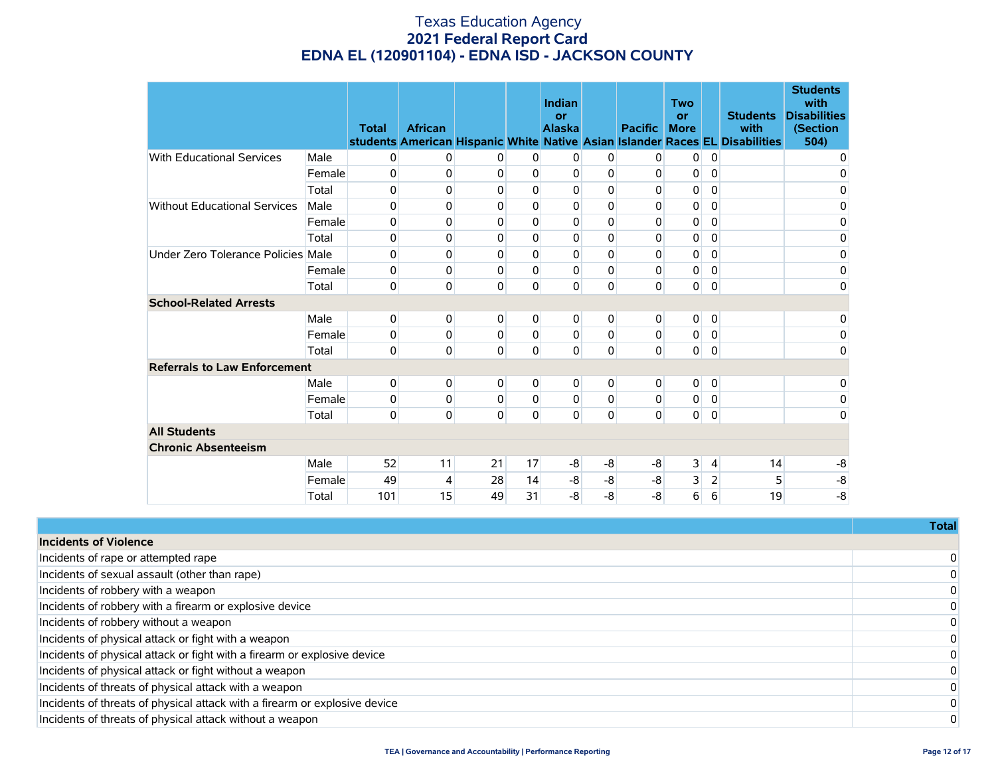|                                     |        | <b>Total</b> | <b>African</b> |          |             | Indian<br>or<br><b>Alaska</b> |             | <b>Pacific</b> | <b>Two</b><br>or<br><b>More</b> |                | <b>Students</b><br>with<br>students American Hispanic White Native Asian Islander Races EL Disabilities | <b>Students</b><br>with<br><b>Disabilities</b><br>(Section<br>504) |
|-------------------------------------|--------|--------------|----------------|----------|-------------|-------------------------------|-------------|----------------|---------------------------------|----------------|---------------------------------------------------------------------------------------------------------|--------------------------------------------------------------------|
| <b>With Educational Services</b>    | Male   | 0            | 0              | 0        | 0           | $\overline{0}$                | 0           | 0              | 0                               | 0              |                                                                                                         | 0                                                                  |
|                                     | Female | 0            | 0              | 0        | 0           | 0                             | 0           | 0              | 0                               | 0              |                                                                                                         | 0                                                                  |
|                                     | Total  | 0            | 0              | 0        | 0           | 0                             | 0           | 0              | 0                               | 0              |                                                                                                         | 0                                                                  |
| <b>Without Educational Services</b> | Male   | 0            | 0              | 0        | 0           | 0                             | 0           | 0              | 0                               | 0              |                                                                                                         | 0                                                                  |
|                                     | Female | 0            | $\pmb{0}$      | 0        | $\Omega$    | 0                             | 0           | 0              | $\pmb{0}$                       | 0              |                                                                                                         | 0                                                                  |
|                                     | Total  | 0            | 0              | 0        | 0           | 0                             | 0           | 0              | 0                               | 0              |                                                                                                         | 0                                                                  |
| Under Zero Tolerance Policies Male  |        | 0            | 0              | 0        | $\Omega$    | 0                             | 0           | 0              | 0                               | $\mathbf 0$    |                                                                                                         | 0                                                                  |
|                                     | Female | 0            | 0              | 0        | $\mathbf 0$ | 0                             | $\Omega$    | 0              | 0                               | $\mathbf 0$    |                                                                                                         | 0                                                                  |
|                                     | Total  | 0            | 0              | 0        | $\Omega$    | 0                             | $\mathbf 0$ | $\mathbf 0$    | 0                               | $\mathbf 0$    |                                                                                                         | $\mathbf 0$                                                        |
| <b>School-Related Arrests</b>       |        |              |                |          |             |                               |             |                |                                 |                |                                                                                                         |                                                                    |
|                                     | Male   | 0            | 0              | 0        | 0           | $\overline{0}$                | 0           | 0              | 0                               | $\overline{0}$ |                                                                                                         | 0                                                                  |
|                                     | Female | 0            | 0              | 0        | $\mathbf 0$ | 0                             | $\mathbf 0$ | 0              | 0                               | 0              |                                                                                                         | 0                                                                  |
|                                     | Total  | 0            | 0              | $\Omega$ | 0           | $\Omega$                      | $\mathbf 0$ | $\mathbf 0$    | 0                               | $\mathbf 0$    |                                                                                                         | $\mathbf 0$                                                        |
| <b>Referrals to Law Enforcement</b> |        |              |                |          |             |                               |             |                |                                 |                |                                                                                                         |                                                                    |
|                                     | Male   | 0            | 0              | 0        | 0           | $\overline{0}$                | 0           | 0              | 0                               | $\mathbf 0$    |                                                                                                         | 0                                                                  |
|                                     | Female | 0            | 0              | 0        | $\Omega$    | 0                             | $\Omega$    | $\mathbf{0}$   | 0                               | $\mathbf 0$    |                                                                                                         | 0                                                                  |
|                                     | Total  | 0            | 0              | 0        | $\Omega$    | $\overline{0}$                | 0           | 0              | 0                               | $\overline{0}$ |                                                                                                         | 0                                                                  |
| <b>All Students</b>                 |        |              |                |          |             |                               |             |                |                                 |                |                                                                                                         |                                                                    |
| <b>Chronic Absenteeism</b>          |        |              |                |          |             |                               |             |                |                                 |                |                                                                                                         |                                                                    |
|                                     | Male   | 52           | 11             | 21       | 17          | -8                            | -8          | -8             | 3                               | $\vert$        | 14                                                                                                      | $-8$                                                               |
|                                     | Female | 49           | 4              | 28       | 14          | $-8$                          | $-8$        | -8             | 3                               | $\overline{2}$ | 5                                                                                                       | $-8$                                                               |
|                                     | Total  | 101          | 15             | 49       | 31          | $-8$                          | $-8$        | -8             | 6                               | 6              | 19                                                                                                      | -8                                                                 |

|                                                                            | Total    |
|----------------------------------------------------------------------------|----------|
| <b>Incidents of Violence</b>                                               |          |
| Incidents of rape or attempted rape                                        | $\Omega$ |
| Incidents of sexual assault (other than rape)                              | $\Omega$ |
| Incidents of robbery with a weapon                                         | $\Omega$ |
| Incidents of robbery with a firearm or explosive device                    | $\Omega$ |
| Incidents of robbery without a weapon                                      | $\Omega$ |
| Incidents of physical attack or fight with a weapon                        | $\Omega$ |
| Incidents of physical attack or fight with a firearm or explosive device   | $\Omega$ |
| Incidents of physical attack or fight without a weapon                     | $\Omega$ |
| Incidents of threats of physical attack with a weapon                      | $\Omega$ |
| Incidents of threats of physical attack with a firearm or explosive device | $\Omega$ |
| Incidents of threats of physical attack without a weapon                   | $\Omega$ |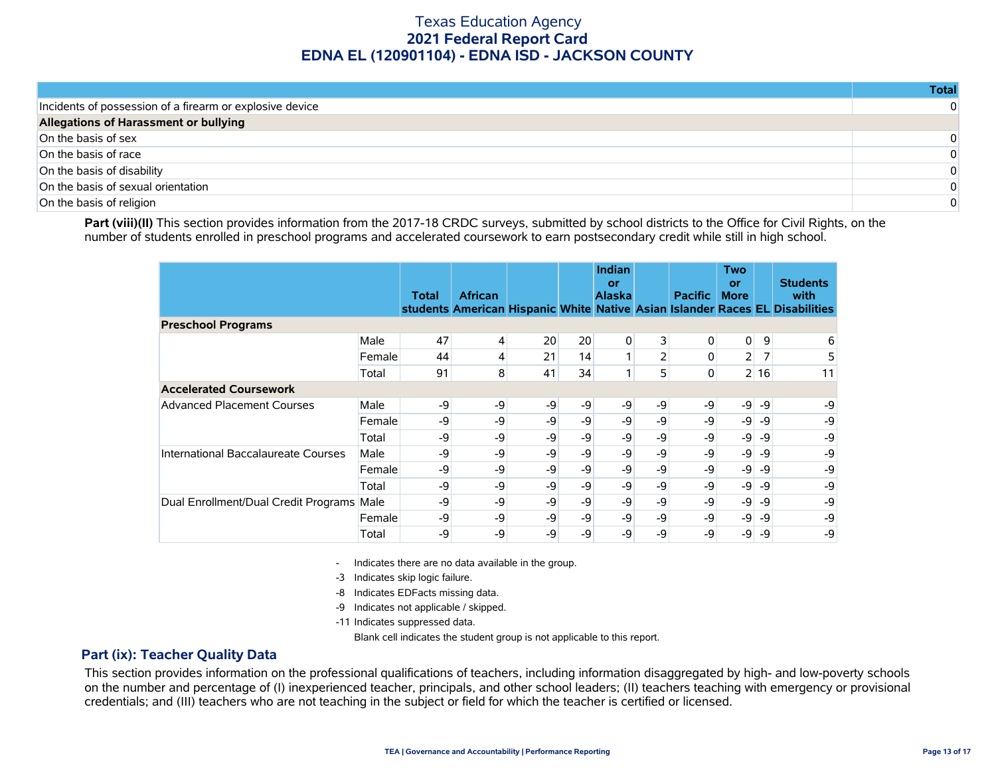|                                                          | Total |
|----------------------------------------------------------|-------|
| Incidents of possession of a firearm or explosive device |       |
| Allegations of Harassment or bullying                    |       |
| On the basis of sex                                      | 0     |
| On the basis of race                                     | 0     |
| On the basis of disability                               | 0     |
| On the basis of sexual orientation                       | 0     |
| On the basis of religion                                 | 0     |

Part (viii)(II) This section provides information from the 2017-18 CRDC surveys, submitted by school districts to the Office for Civil Rights, on the number of students enrolled in preschool programs and accelerated coursework to earn postsecondary credit while still in high school.

|                                      |        | Total | <b>African</b> |    |      | Indian<br>or<br><b>Alaska</b> |                | <b>Pacific</b> | Two<br>or<br><b>More</b> |      | <b>Students</b><br>with<br>students American Hispanic White Native Asian Islander Races EL Disabilities |
|--------------------------------------|--------|-------|----------------|----|------|-------------------------------|----------------|----------------|--------------------------|------|---------------------------------------------------------------------------------------------------------|
| <b>Preschool Programs</b>            |        |       |                |    |      |                               |                |                |                          |      |                                                                                                         |
|                                      | Male   | 47    | 4              | 20 | 20   | 0                             | $\overline{3}$ | 0              | $\overline{0}$           | 9    | 6                                                                                                       |
|                                      | Female | 44    | 4              | 21 | 14   |                               |                | 0              | $\overline{2}$           |      | 5                                                                                                       |
|                                      | Total  | 91    | 8              | 41 | 34   | 1 <sub>1</sub>                | 5 <sub>1</sub> | 0              |                          | 2 16 | 11                                                                                                      |
| <b>Accelerated Coursework</b>        |        |       |                |    |      |                               |                |                |                          |      |                                                                                                         |
| <b>Advanced Placement Courses</b>    | Male   | -9    | -9             | -9 | -9   | -9                            | -9             | -9             | -9                       | -9   | -9                                                                                                      |
|                                      | Female | -9    | -9             | -9 | -9   | -9                            | -9             | -9             | $-9$                     | -9   | -9                                                                                                      |
|                                      | Total  | -9    | $-9$           | -9 | $-9$ | -9                            | -9             | $-9$           | $-9$                     | -9   | -9                                                                                                      |
| International Baccalaureate Courses  | Male   | -9    | -9             | -9 | -9   | -9                            | -9             | -9             | $-9$                     | -9   | -9                                                                                                      |
|                                      | Female | -9    | -9             | -9 | $-9$ | -9                            | -9             | -9             | $-9$                     | -9   | -9                                                                                                      |
|                                      | Total  | -9    | -9             | -9 | -9   | -9                            | -9             | -9             | $-9$                     | -9   | -9                                                                                                      |
| Dual Enrollment/Dual Credit Programs | Male   | -9    | -9             | -9 | -9   | -9                            | -9             | -9             | $-9$                     | -9   | -9                                                                                                      |
|                                      | Female | -9    | -9             | -9 | -9   | -9                            | -9             | -9             | $-9$                     | -9   | -9                                                                                                      |
|                                      | Total  | -9    | -9             | -9 | -9   | -9                            | -9             | -9             | $-9$                     | -9   | -9                                                                                                      |

- Indicates there are no data available in the group.

-3 Indicates skip logic failure.

- -8 Indicates EDFacts missing data.
- -9 Indicates not applicable / skipped.

-11 Indicates suppressed data.

Blank cell indicates the student group is not applicable to this report.

### **Part (ix): Teacher Quality Data**

This section provides information on the professional qualifications of teachers, including information disaggregated by high- and low-poverty schools on the number and percentage of (I) inexperienced teacher, principals, and other school leaders; (II) teachers teaching with emergency or provisional credentials; and (III) teachers who are not teaching in the subject or field for which the teacher is certified or licensed.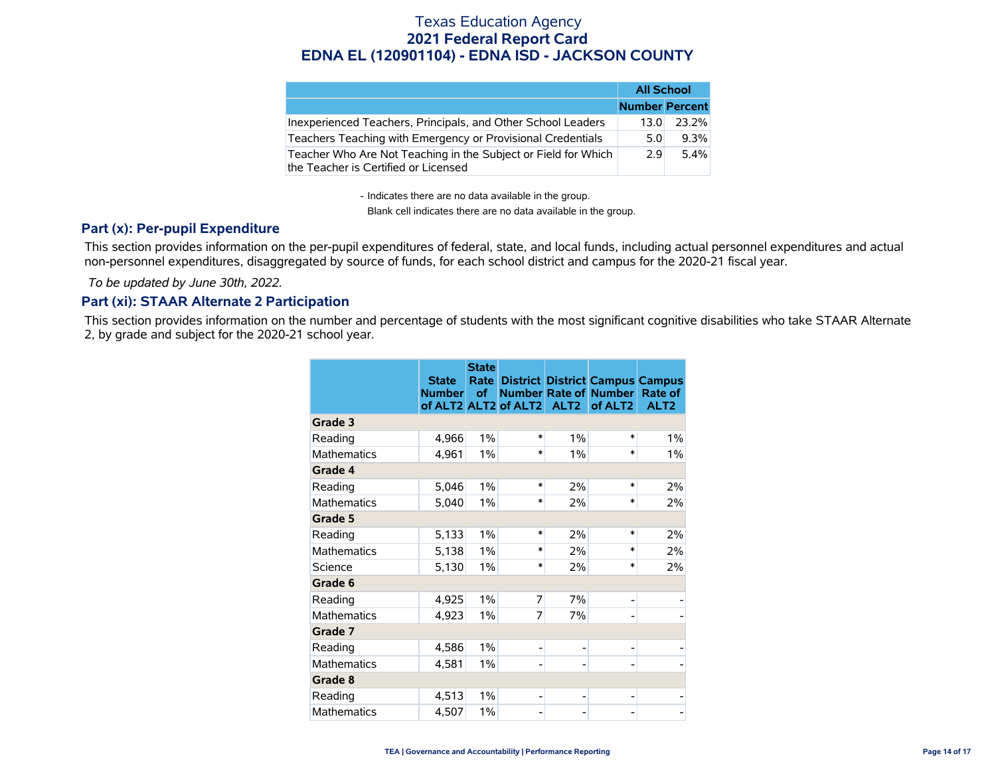|                                                                                                        | <b>All School</b>     |         |
|--------------------------------------------------------------------------------------------------------|-----------------------|---------|
|                                                                                                        | <b>Number Percent</b> |         |
| Inexperienced Teachers, Principals, and Other School Leaders                                           | 13.0                  | 23.2%   |
| Teachers Teaching with Emergency or Provisional Credentials                                            | 5.0                   | $9.3\%$ |
| Teacher Who Are Not Teaching in the Subject or Field for Which<br>the Teacher is Certified or Licensed | 2.9                   | 5.4%    |

- Indicates there are no data available in the group.

Blank cell indicates there are no data available in the group.

### **Part (x): Per-pupil Expenditure**

This section provides information on the per-pupil expenditures of federal, state, and local funds, including actual personnel expenditures and actual non-personnel expenditures, disaggregated by source of funds, for each school district and campus for the 2020-21 fiscal year.

 *To be updated by June 30th, 2022.*

### **Part (xi): STAAR Alternate 2 Participation**

This section provides information on the number and percentage of students with the most significant cognitive disabilities who take STAAR Alternate 2, by grade and subject for the 2020-21 school year.

|                    | <b>State</b><br><b>Number</b> | <b>State</b><br><b>Rate</b><br>of | of ALT2 ALT2 of ALT2 | ALT <sub>2</sub> | <b>District District Campus Campus</b><br><b>Number Rate of Number</b><br>of ALT2 | Rate of<br>ALT <sub>2</sub> |
|--------------------|-------------------------------|-----------------------------------|----------------------|------------------|-----------------------------------------------------------------------------------|-----------------------------|
| Grade 3            |                               |                                   |                      |                  |                                                                                   |                             |
| Reading            | 4,966                         | 1%                                | $\ast$               | 1%               | $\ast$                                                                            | $1\%$                       |
| <b>Mathematics</b> | 4,961                         | $1\%$                             | $\ast$               | 1%               | $\ast$                                                                            | 1%                          |
| Grade 4            |                               |                                   |                      |                  |                                                                                   |                             |
| Reading            | 5,046                         | 1%                                | $\ast$               | 2%               | $\ast$                                                                            | 2%                          |
| <b>Mathematics</b> | 5,040                         | $1\%$                             | $\ast$               | 2%               | $\ast$                                                                            | 2%                          |
| Grade 5            |                               |                                   |                      |                  |                                                                                   |                             |
| Reading            | 5,133                         | $1\%$                             | $\ast$               | 2%               | $\ast$                                                                            | 2%                          |
| <b>Mathematics</b> | 5,138                         | $1\%$                             | $\ast$               | 2%               | $\ast$                                                                            | 2%                          |
| Science            | 5,130                         | $1\%$                             | $\ast$               | 2%               | $\ast$                                                                            | 2%                          |
| Grade 6            |                               |                                   |                      |                  |                                                                                   |                             |
| Reading            | 4,925                         | $1\%$                             | 7                    | 7%               | -                                                                                 |                             |
| <b>Mathematics</b> | 4,923                         | $1\%$                             | 7                    | 7%               |                                                                                   |                             |
| Grade 7            |                               |                                   |                      |                  |                                                                                   |                             |
| Reading            | 4,586                         | 1%                                | $\overline{a}$       |                  | $\overline{\phantom{0}}$                                                          |                             |
| <b>Mathematics</b> | 4,581                         | $1\%$                             | $\overline{a}$       |                  | -                                                                                 |                             |
| Grade 8            |                               |                                   |                      |                  |                                                                                   |                             |
| Reading            | 4,513                         | $1\%$                             | $\overline{a}$       |                  | -                                                                                 |                             |
| <b>Mathematics</b> | 4,507                         | $1\%$                             |                      |                  |                                                                                   |                             |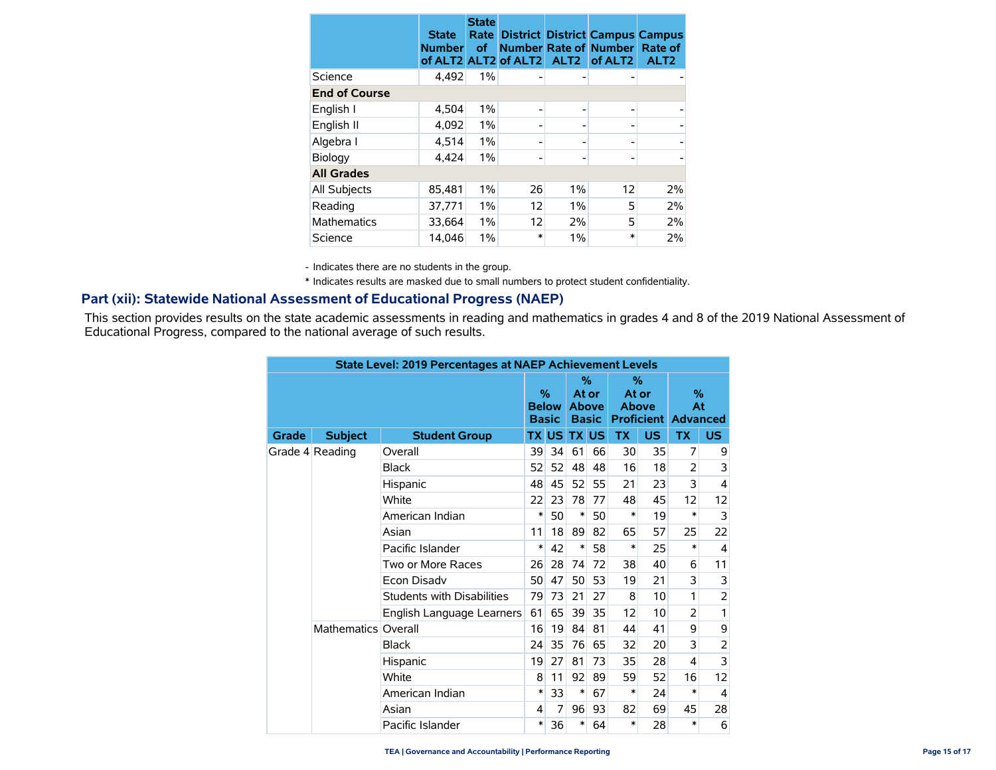|                      | <b>State</b><br><b>Number</b> | <b>State</b><br>Rate<br><b>of</b> | of ALT2 ALT2 of ALT2 | ALT <sub>2</sub> | <b>District District Campus Campus</b><br><b>Number Rate of Number</b><br>of ALT <sub>2</sub> | Rate of<br>ALT <sub>2</sub> |
|----------------------|-------------------------------|-----------------------------------|----------------------|------------------|-----------------------------------------------------------------------------------------------|-----------------------------|
| Science              | 4,492                         | 1%                                |                      |                  |                                                                                               |                             |
| <b>End of Course</b> |                               |                                   |                      |                  |                                                                                               |                             |
| English I            | 4,504                         | 1%                                |                      | -                |                                                                                               |                             |
| English II           | 4,092                         | $1\%$                             |                      |                  |                                                                                               |                             |
| Algebra I            | 4,514                         | 1%                                |                      | -                |                                                                                               |                             |
| Biology              | 4,424                         | 1%                                |                      | -                |                                                                                               |                             |
| <b>All Grades</b>    |                               |                                   |                      |                  |                                                                                               |                             |
| All Subjects         | 85,481                        | 1%                                | 26                   | 1%               | 12                                                                                            | 2%                          |
| Reading              | 37,771                        | 1%                                | 12                   | 1%               | 5                                                                                             | 2%                          |
| <b>Mathematics</b>   | 33,664                        | 1%                                | 12                   | 2%               | 5                                                                                             | 2%                          |
| Science              | 14.046                        | $1\%$                             | $\ast$               | 1%               | $\ast$                                                                                        | 2%                          |

- Indicates there are no students in the group.

\* Indicates results are masked due to small numbers to protect student confidentiality.

### **Part (xii): Statewide National Assessment of Educational Progress (NAEP)**

This section provides results on the state academic assessments in reading and mathematics in grades 4 and 8 of the 2019 National Assessment of Educational Progress, compared to the national average of such results.

|       | <b>State Level: 2019 Percentages at NAEP Achievement Levels</b> |                            |        |        |              |                                               |                               |                   |                               |                |  |  |
|-------|-----------------------------------------------------------------|----------------------------|--------|--------|--------------|-----------------------------------------------|-------------------------------|-------------------|-------------------------------|----------------|--|--|
|       |                                                                 |                            |        |        |              | $\%$<br>At or<br><b>Above</b><br><b>Basic</b> | $\%$<br>At or<br><b>Above</b> | <b>Proficient</b> | $\%$<br>At<br><b>Advanced</b> |                |  |  |
| Grade | <b>Subject</b>                                                  | <b>Student Group</b>       |        | TX US  | <b>TX US</b> |                                               | <b>TX</b>                     | <b>US</b>         | <b>TX</b>                     | US.            |  |  |
|       | Grade 4 Reading                                                 | Overall                    | 39     | 34     | 61           | 66                                            | 30                            | 35                | 7                             | 9              |  |  |
|       |                                                                 | <b>Black</b>               | 52     | 52     | 48           | 48                                            | 16                            | 18                | $\overline{2}$                | 3              |  |  |
|       |                                                                 | Hispanic                   | 48     | 45     | 52           | 55                                            | 21                            | 23                | 3                             | $\overline{4}$ |  |  |
|       |                                                                 | White                      | 22     | 23     | 78           | 77                                            | 48                            | 45                | 12                            | 12             |  |  |
|       | American Indian                                                 |                            | 50     | $\ast$ | 50           | *                                             | 19                            | $\ast$            | 3                             |                |  |  |
|       |                                                                 | Asian                      | 11     | 18     | 89           | 82                                            | 65                            | 57                | 25                            | 22             |  |  |
|       | Pacific Islander                                                | *                          | 42     | *      | 58           | *                                             | 25                            | $\ast$            | $\overline{4}$                |                |  |  |
|       |                                                                 | Two or More Races          | 26     | 28     | 74           | 72                                            | 38                            | 40                | 6                             | 11             |  |  |
|       |                                                                 | Econ Disadv                | 50     | 47     | 50           | 53                                            | 19                            | 21                | 3                             | 3              |  |  |
|       |                                                                 | Students with Disabilities | 79     | 73     | 21           | 27                                            | 8                             | 10                | 1                             | 2              |  |  |
|       |                                                                 | English Language Learners  | 61     | 65     | 39           | 35                                            | 12                            | 10                | $\overline{2}$                | 1              |  |  |
|       | Mathematics Overall                                             |                            | 16     | 19     | 84           | 81                                            | 44                            | 41                | 9                             | 9              |  |  |
|       |                                                                 | <b>Black</b>               | 24     | 35     | 76           | 65                                            | 32                            | 20                | 3                             | 2              |  |  |
|       |                                                                 | Hispanic                   | 19     | 27     | 81           | 73                                            | 35                            | 28                | 4                             | 3              |  |  |
|       |                                                                 | White                      | 8      | 11     | 92           | 89                                            | 59                            | 52                | 16                            | 12             |  |  |
|       |                                                                 | American Indian            | *      | 33     | *            | 67                                            | *                             | 24                | *                             | 4              |  |  |
|       |                                                                 | Asian                      | 4      | 7      | 96           | 93                                            | 82                            | 69                | 45                            | 28             |  |  |
|       |                                                                 | Pacific Islander           | $\ast$ | 36     | *            | 64                                            | *                             | 28                | *                             | 6              |  |  |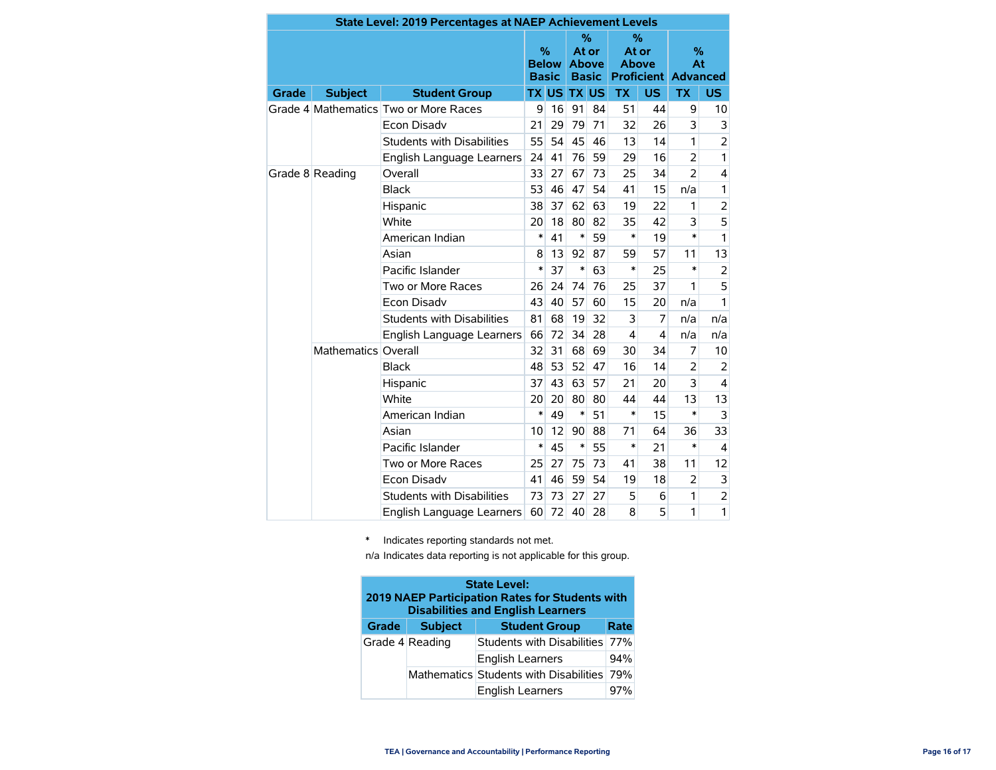|       |                     | <b>State Level: 2019 Percentages at NAEP Achievement Levels</b> |                      |              |                                            |    |                               |                         |                                          |                |
|-------|---------------------|-----------------------------------------------------------------|----------------------|--------------|--------------------------------------------|----|-------------------------------|-------------------------|------------------------------------------|----------------|
|       |                     |                                                                 | $\%$<br><b>Basic</b> | <b>Below</b> | %<br>At or<br><b>Above</b><br><b>Basic</b> |    | $\%$<br>At or<br><b>Above</b> |                         | $\%$<br>At<br><b>Proficient Advanced</b> |                |
| Grade | <b>Subject</b>      | <b>Student Group</b>                                            |                      | <b>TX US</b> | <b>TX US</b>                               |    | <b>TX</b>                     | <b>US</b>               | <b>TX</b>                                | US.            |
|       |                     | Grade 4 Mathematics Two or More Races                           | 9                    | 16           | 91                                         | 84 | 51                            | 44                      | 9                                        | 10             |
|       |                     | <b>Econ Disadv</b>                                              | 21                   | 29           | 79                                         | 71 | 32                            | 26                      | 3                                        | 3              |
|       |                     | <b>Students with Disabilities</b>                               | 55                   | 54           | 45                                         | 46 | 13                            | 14                      | 1                                        | $\overline{2}$ |
|       |                     | English Language Learners                                       | 24                   | 41           | 76                                         | 59 | 29                            | 16                      | $\overline{2}$                           | 1              |
|       | Grade 8 Reading     | Overall                                                         | 33                   | 27           | 67                                         | 73 | 25                            | 34                      | $\overline{2}$                           | 4              |
|       |                     | <b>Black</b>                                                    | 53                   | 46           | 47                                         | 54 | 41                            | 15                      | n/a                                      | 1              |
|       |                     | Hispanic                                                        | 38                   | 37           | 62                                         | 63 | 19                            | 22                      | 1                                        | $\overline{a}$ |
|       |                     | White                                                           | 20                   | 18           | 80                                         | 82 | 35                            | 42                      | 3                                        | 5              |
|       |                     | American Indian                                                 | $\ast$               | 41           | $\ast$                                     | 59 | *                             | 19                      | $\ast$                                   | $\mathbf{1}$   |
|       |                     | Asian                                                           | 8                    | 13           | 92                                         | 87 | 59                            | 57                      | 11                                       | 13             |
|       |                     | Pacific Islander                                                | $\ast$               | 37           | $\ast$                                     | 63 | *                             | 25                      | $\ast$                                   | $\overline{2}$ |
|       |                     | Two or More Races                                               | 26                   | 24           | 74                                         | 76 | 25                            | 37                      | 1                                        | 5              |
|       |                     | Econ Disadv                                                     | 43                   | 40           | 57                                         | 60 | 15                            | 20                      | n/a                                      | 1              |
|       |                     | <b>Students with Disabilities</b>                               | 81                   | 68           | 19                                         | 32 | 3                             | 7                       | n/a                                      | n/a            |
|       |                     | English Language Learners                                       | 66                   | 72           | 34                                         | 28 | 4                             | $\overline{\mathbf{4}}$ | n/a                                      | n/a            |
|       | Mathematics Overall |                                                                 | 32                   | 31           | 68                                         | 69 | 30                            | 34                      | 7                                        | 10             |
|       |                     | <b>Black</b>                                                    | 48                   | 53           | 52                                         | 47 | 16                            | 14                      | $\overline{2}$                           | 2              |
|       |                     | Hispanic                                                        | 37                   | 43           | 63                                         | 57 | 21                            | 20                      | 3                                        | 4              |
|       |                     | White                                                           | 20                   | 20           | 80                                         | 80 | 44                            | 44                      | 13                                       | 13             |
|       |                     | American Indian                                                 | $\ast$               | 49           | $\ast$                                     | 51 | $\ast$                        | 15                      | $\ast$                                   | 3              |
|       |                     | Asian                                                           | 10                   | 12           | 90                                         | 88 | 71                            | 64                      | 36                                       | 33             |
|       |                     | Pacific Islander                                                | $\ast$               | 45           | $\ast$                                     | 55 | *                             | 21                      | $\ast$                                   | 4              |
|       |                     | Two or More Races                                               | 25                   | 27           | 75                                         | 73 | 41                            | 38                      | 11                                       | 12             |
|       |                     | <b>Econ Disadv</b>                                              | 41                   | 46           | 59                                         | 54 | 19                            | 18                      | $\overline{2}$                           | 3              |
|       |                     | <b>Students with Disabilities</b>                               | 73                   | 73           | 27                                         | 27 | 5                             | 6                       | 1                                        | $\overline{c}$ |
|       |                     | English Language Learners                                       | 60                   | 72           | 40                                         | 28 | 8                             | 5                       | 1                                        | 1              |

\* Indicates reporting standards not met.

n/a Indicates data reporting is not applicable for this group.

| <b>State Level:</b><br>2019 NAEP Participation Rates for Students with<br><b>Disabilities and English Learners</b> |                 |                                            |      |  |  |  |  |  |  |  |
|--------------------------------------------------------------------------------------------------------------------|-----------------|--------------------------------------------|------|--|--|--|--|--|--|--|
| Grade                                                                                                              | <b>Subject</b>  | <b>Student Group</b>                       | Rate |  |  |  |  |  |  |  |
|                                                                                                                    | Grade 4 Reading | Students with Disabilities                 | 77%  |  |  |  |  |  |  |  |
|                                                                                                                    |                 | <b>English Learners</b>                    | 94%  |  |  |  |  |  |  |  |
|                                                                                                                    |                 | Mathematics Students with Disabilities 79% |      |  |  |  |  |  |  |  |
|                                                                                                                    |                 | <b>English Learners</b>                    | 97%  |  |  |  |  |  |  |  |